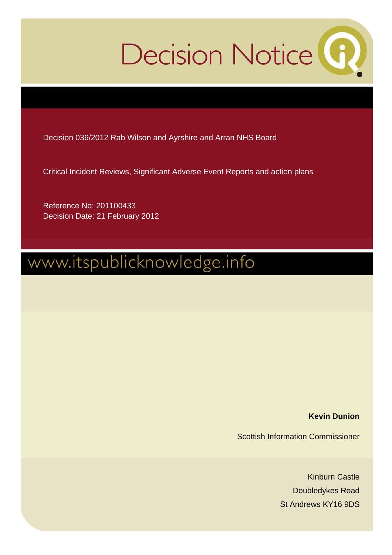# Decision Notice<sup>(1)</sup>

Decision 036/2012 Rab Wilson and Ayrshire and Arran NHS Board

Critical Incident Reviews, Significant Adverse Event Reports and action plans

Reference No: 201100433 Decision Date: 21 February 2012

# www.itspublicknowledge.info

**Kevin Dunion** 

Scottish Information Commissioner

Kinburn Castle Doubledykes Road St Andrews KY16 9DS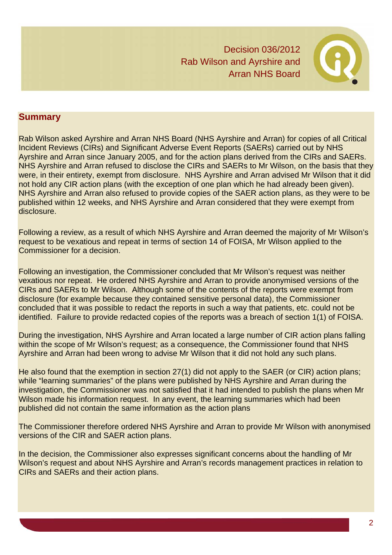

# **Summary**

Rab Wilson asked Ayrshire and Arran NHS Board (NHS Ayrshire and Arran) for copies of all Critical Incident Reviews (CIRs) and Significant Adverse Event Reports (SAERs) carried out by NHS Ayrshire and Arran since January 2005, and for the action plans derived from the CIRs and SAERs. NHS Ayrshire and Arran refused to disclose the CIRs and SAERs to Mr Wilson, on the basis that they were, in their entirety, exempt from disclosure. NHS Ayrshire and Arran advised Mr Wilson that it did not hold any CIR action plans (with the exception of one plan which he had already been given). NHS Ayrshire and Arran also refused to provide copies of the SAER action plans, as they were to be published within 12 weeks, and NHS Ayrshire and Arran considered that they were exempt from disclosure.

Following a review, as a result of which NHS Ayrshire and Arran deemed the majority of Mr Wilson's request to be vexatious and repeat in terms of section 14 of FOISA, Mr Wilson applied to the Commissioner for a decision.

Following an investigation, the Commissioner concluded that Mr Wilson's request was neither vexatious nor repeat. He ordered NHS Ayrshire and Arran to provide anonymised versions of the CIRs and SAERs to Mr Wilson. Although some of the contents of the reports were exempt from disclosure (for example because they contained sensitive personal data), the Commissioner concluded that it was possible to redact the reports in such a way that patients, etc. could not be identified. Failure to provide redacted copies of the reports was a breach of section 1(1) of FOISA.

During the investigation, NHS Ayrshire and Arran located a large number of CIR action plans falling within the scope of Mr Wilson's request; as a consequence, the Commissioner found that NHS Ayrshire and Arran had been wrong to advise Mr Wilson that it did not hold any such plans.

He also found that the exemption in section 27(1) did not apply to the SAER (or CIR) action plans; while "learning summaries" of the plans were published by NHS Ayrshire and Arran during the investigation, the Commissioner was not satisfied that it had intended to publish the plans when Mr Wilson made his information request. In any event, the learning summaries which had been published did not contain the same information as the action plans

The Commissioner therefore ordered NHS Ayrshire and Arran to provide Mr Wilson with anonymised versions of the CIR and SAER action plans.

In the decision, the Commissioner also expresses significant concerns about the handling of Mr Wilson's request and about NHS Ayrshire and Arran's records management practices in relation to CIRs and SAERs and their action plans.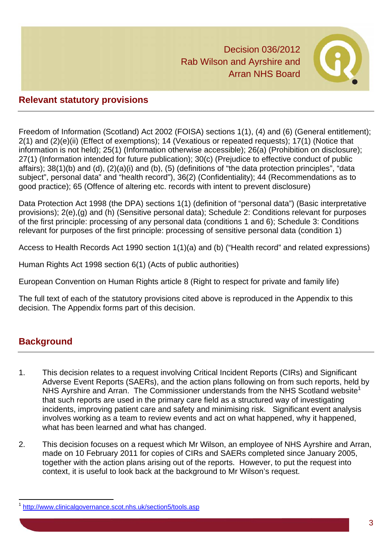

# **Relevant statutory provisions**

Freedom of Information (Scotland) Act 2002 (FOISA) sections 1(1), (4) and (6) (General entitlement); 2(1) and (2)(e)(ii) (Effect of exemptions); 14 (Vexatious or repeated requests); 17(1) (Notice that information is not held); 25(1) (Information otherwise accessible); 26(a) (Prohibition on disclosure); 27(1) (Information intended for future publication); 30(c) (Prejudice to effective conduct of public affairs); 38(1)(b) and (d), (2)(a)(i) and (b), (5) (definitions of "the data protection principles", "data subject", personal data" and "health record"), 36(2) (Confidentiality); 44 (Recommendations as to good practice); 65 (Offence of altering etc. records with intent to prevent disclosure)

Data Protection Act 1998 (the DPA) sections 1(1) (definition of "personal data") (Basic interpretative provisions); 2(e),(g) and (h) (Sensitive personal data); Schedule 2: Conditions relevant for purposes of the first principle: processing of any personal data (conditions 1 and 6); Schedule 3: Conditions relevant for purposes of the first principle: processing of sensitive personal data (condition 1)

Access to Health Records Act 1990 section 1(1)(a) and (b) ("Health record" and related expressions)

Human Rights Act 1998 section 6(1) (Acts of public authorities)

European Convention on Human Rights article 8 (Right to respect for private and family life)

The full text of each of the statutory provisions cited above is reproduced in the Appendix to this decision. The Appendix forms part of this decision.

# **Background**

l

- 1. This decision relates to a request involving Critical Incident Reports (CIRs) and Significant Adverse Event Reports (SAERs), and the action plans following on from such reports, held by NHS Ayrshire and Arran. The Commissioner understands from the NHS Scotland website<sup>1</sup> that such reports are used in the primary care field as a structured way of investigating incidents, improving patient care and safety and minimising risk. Significant event analysis involves working as a team to review events and act on what happened, why it happened, what has been learned and what has changed.
- 2. This decision focuses on a request which Mr Wilson, an employee of NHS Ayrshire and Arran, made on 10 February 2011 for copies of CIRs and SAERs completed since January 2005, together with the action plans arising out of the reports. However, to put the request into context, it is useful to look back at the background to Mr Wilson's request.

<sup>1</sup> http://www.clinicalgovernance.scot.nhs.uk/section5/tools.asp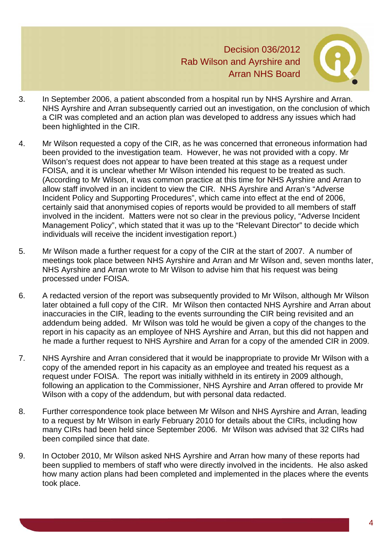

- 3. In September 2006, a patient absconded from a hospital run by NHS Ayrshire and Arran. NHS Ayrshire and Arran subsequently carried out an investigation, on the conclusion of which a CIR was completed and an action plan was developed to address any issues which had been highlighted in the CIR.
- 4. Mr Wilson requested a copy of the CIR, as he was concerned that erroneous information had been provided to the investigation team. However, he was not provided with a copy. Mr Wilson's request does not appear to have been treated at this stage as a request under FOISA, and it is unclear whether Mr Wilson intended his request to be treated as such. (According to Mr Wilson, it was common practice at this time for NHS Ayrshire and Arran to allow staff involved in an incident to view the CIR. NHS Ayrshire and Arran's "Adverse Incident Policy and Supporting Procedures", which came into effect at the end of 2006, certainly said that anonymised copies of reports would be provided to all members of staff involved in the incident. Matters were not so clear in the previous policy, "Adverse Incident Management Policy", which stated that it was up to the "Relevant Director" to decide which individuals will receive the incident investigation report.)
- 5. Mr Wilson made a further request for a copy of the CIR at the start of 2007. A number of meetings took place between NHS Ayrshire and Arran and Mr Wilson and, seven months later, NHS Ayrshire and Arran wrote to Mr Wilson to advise him that his request was being processed under FOISA.
- 6. A redacted version of the report was subsequently provided to Mr Wilson, although Mr Wilson later obtained a full copy of the CIR. Mr Wilson then contacted NHS Ayrshire and Arran about inaccuracies in the CIR, leading to the events surrounding the CIR being revisited and an addendum being added. Mr Wilson was told he would be given a copy of the changes to the report in his capacity as an employee of NHS Ayrshire and Arran, but this did not happen and he made a further request to NHS Ayrshire and Arran for a copy of the amended CIR in 2009.
- 7. NHS Ayrshire and Arran considered that it would be inappropriate to provide Mr Wilson with a copy of the amended report in his capacity as an employee and treated his request as a request under FOISA. The report was initially withheld in its entirety in 2009 although, following an application to the Commissioner, NHS Ayrshire and Arran offered to provide Mr Wilson with a copy of the addendum, but with personal data redacted.
- 8. Further correspondence took place between Mr Wilson and NHS Ayrshire and Arran, leading to a request by Mr Wilson in early February 2010 for details about the CIRs, including how many CIRs had been held since September 2006. Mr Wilson was advised that 32 CIRs had been compiled since that date.
- 9. In October 2010, Mr Wilson asked NHS Ayrshire and Arran how many of these reports had been supplied to members of staff who were directly involved in the incidents. He also asked how many action plans had been completed and implemented in the places where the events took place.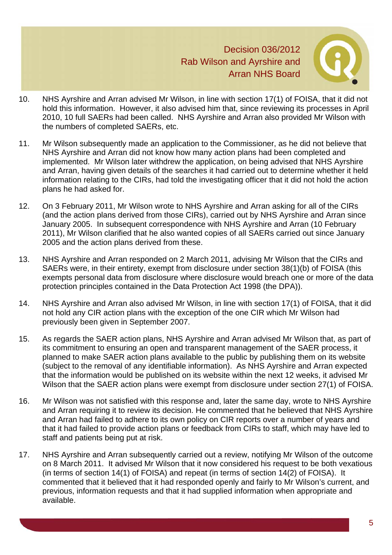

- 10. NHS Ayrshire and Arran advised Mr Wilson, in line with section 17(1) of FOISA, that it did not hold this information. However, it also advised him that, since reviewing its processes in April 2010, 10 full SAERs had been called. NHS Ayrshire and Arran also provided Mr Wilson with the numbers of completed SAERs, etc.
- 11. Mr Wilson subsequently made an application to the Commissioner, as he did not believe that NHS Ayrshire and Arran did not know how many action plans had been completed and implemented. Mr Wilson later withdrew the application, on being advised that NHS Ayrshire and Arran, having given details of the searches it had carried out to determine whether it held information relating to the CIRs, had told the investigating officer that it did not hold the action plans he had asked for.
- 12. On 3 February 2011, Mr Wilson wrote to NHS Ayrshire and Arran asking for all of the CIRs (and the action plans derived from those CIRs), carried out by NHS Ayrshire and Arran since January 2005. In subsequent correspondence with NHS Ayrshire and Arran (10 February 2011), Mr Wilson clarified that he also wanted copies of all SAERs carried out since January 2005 and the action plans derived from these.
- 13. NHS Ayrshire and Arran responded on 2 March 2011, advising Mr Wilson that the CIRs and SAERs were, in their entirety, exempt from disclosure under section 38(1)(b) of FOISA (this exempts personal data from disclosure where disclosure would breach one or more of the data protection principles contained in the Data Protection Act 1998 (the DPA)).
- 14. NHS Ayrshire and Arran also advised Mr Wilson, in line with section 17(1) of FOISA, that it did not hold any CIR action plans with the exception of the one CIR which Mr Wilson had previously been given in September 2007.
- 15. As regards the SAER action plans, NHS Ayrshire and Arran advised Mr Wilson that, as part of its commitment to ensuring an open and transparent management of the SAER process, it planned to make SAER action plans available to the public by publishing them on its website (subject to the removal of any identifiable information). As NHS Ayrshire and Arran expected that the information would be published on its website within the next 12 weeks, it advised Mr Wilson that the SAER action plans were exempt from disclosure under section 27(1) of FOISA.
- 16. Mr Wilson was not satisfied with this response and, later the same day, wrote to NHS Ayrshire and Arran requiring it to review its decision. He commented that he believed that NHS Ayrshire and Arran had failed to adhere to its own policy on CIR reports over a number of years and that it had failed to provide action plans or feedback from CIRs to staff, which may have led to staff and patients being put at risk.
- 17. NHS Ayrshire and Arran subsequently carried out a review, notifying Mr Wilson of the outcome on 8 March 2011. It advised Mr Wilson that it now considered his request to be both vexatious (in terms of section 14(1) of FOISA) and repeat (in terms of section 14(2) of FOISA). It commented that it believed that it had responded openly and fairly to Mr Wilson's current, and previous, information requests and that it had supplied information when appropriate and available.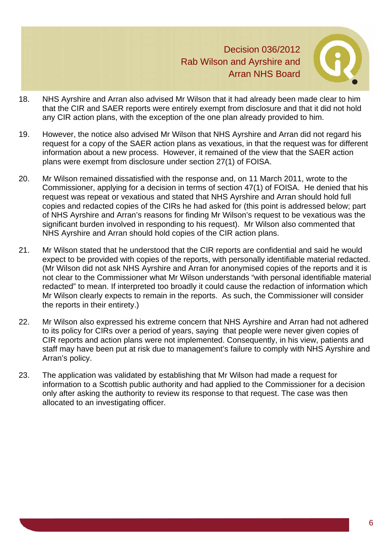

- 18. NHS Ayrshire and Arran also advised Mr Wilson that it had already been made clear to him that the CIR and SAER reports were entirely exempt from disclosure and that it did not hold any CIR action plans, with the exception of the one plan already provided to him.
- 19. However, the notice also advised Mr Wilson that NHS Ayrshire and Arran did not regard his request for a copy of the SAER action plans as vexatious, in that the request was for different information about a new process. However, it remained of the view that the SAER action plans were exempt from disclosure under section 27(1) of FOISA.
- 20. Mr Wilson remained dissatisfied with the response and, on 11 March 2011, wrote to the Commissioner, applying for a decision in terms of section 47(1) of FOISA. He denied that his request was repeat or vexatious and stated that NHS Ayrshire and Arran should hold full copies and redacted copies of the CIRs he had asked for (this point is addressed below; part of NHS Ayrshire and Arran's reasons for finding Mr Wilson's request to be vexatious was the significant burden involved in responding to his request). Mr Wilson also commented that NHS Ayrshire and Arran should hold copies of the CIR action plans.
- 21. Mr Wilson stated that he understood that the CIR reports are confidential and said he would expect to be provided with copies of the reports, with personally identifiable material redacted. (Mr Wilson did not ask NHS Ayrshire and Arran for anonymised copies of the reports and it is not clear to the Commissioner what Mr Wilson understands "with personal identifiable material redacted" to mean. If interpreted too broadly it could cause the redaction of information which Mr Wilson clearly expects to remain in the reports. As such, the Commissioner will consider the reports in their entirety.)
- 22. Mr Wilson also expressed his extreme concern that NHS Ayrshire and Arran had not adhered to its policy for CIRs over a period of years, saying that people were never given copies of CIR reports and action plans were not implemented. Consequently, in his view, patients and staff may have been put at risk due to management's failure to comply with NHS Ayrshire and Arran's policy.
- 23. The application was validated by establishing that Mr Wilson had made a request for information to a Scottish public authority and had applied to the Commissioner for a decision only after asking the authority to review its response to that request. The case was then allocated to an investigating officer.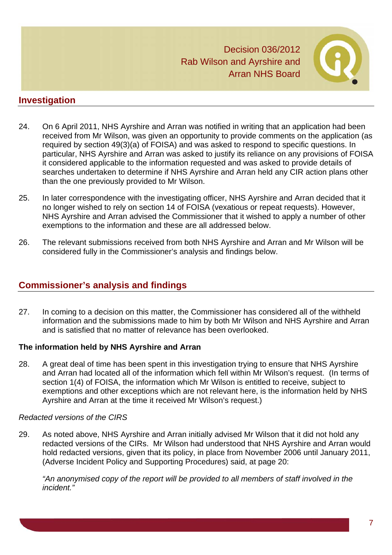

# **Investigation**

- 24. On 6 April 2011, NHS Ayrshire and Arran was notified in writing that an application had been received from Mr Wilson, was given an opportunity to provide comments on the application (as required by section 49(3)(a) of FOISA) and was asked to respond to specific questions. In particular, NHS Ayrshire and Arran was asked to justify its reliance on any provisions of FOISA it considered applicable to the information requested and was asked to provide details of searches undertaken to determine if NHS Ayrshire and Arran held any CIR action plans other than the one previously provided to Mr Wilson.
- 25. In later correspondence with the investigating officer, NHS Ayrshire and Arran decided that it no longer wished to rely on section 14 of FOISA (vexatious or repeat requests). However, NHS Ayrshire and Arran advised the Commissioner that it wished to apply a number of other exemptions to the information and these are all addressed below.
- 26. The relevant submissions received from both NHS Ayrshire and Arran and Mr Wilson will be considered fully in the Commissioner's analysis and findings below.

# **Commissioner's analysis and findings**

27. In coming to a decision on this matter, the Commissioner has considered all of the withheld information and the submissions made to him by both Mr Wilson and NHS Ayrshire and Arran and is satisfied that no matter of relevance has been overlooked.

# **The information held by NHS Ayrshire and Arran**

28. A great deal of time has been spent in this investigation trying to ensure that NHS Ayrshire and Arran had located all of the information which fell within Mr Wilson's request. (In terms of section 1(4) of FOISA, the information which Mr Wilson is entitled to receive, subject to exemptions and other exceptions which are not relevant here, is the information held by NHS Ayrshire and Arran at the time it received Mr Wilson's request.)

# *Redacted versions of the CIRS*

29. As noted above, NHS Ayrshire and Arran initially advised Mr Wilson that it did not hold any redacted versions of the CIRs. Mr Wilson had understood that NHS Ayrshire and Arran would hold redacted versions, given that its policy, in place from November 2006 until January 2011, (Adverse Incident Policy and Supporting Procedures) said, at page 20:

*"An anonymised copy of the report will be provided to all members of staff involved in the incident."*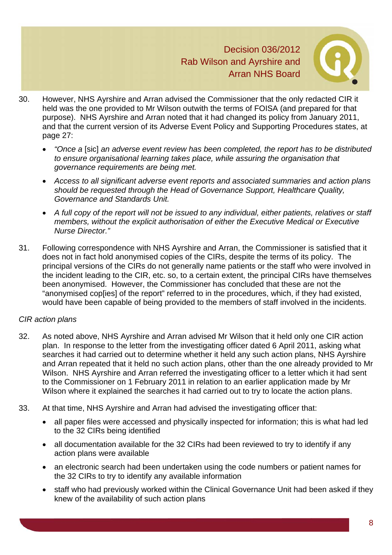

- 30. However, NHS Ayrshire and Arran advised the Commissioner that the only redacted CIR it held was the one provided to Mr Wilson outwith the terms of FOISA (and prepared for that purpose). NHS Ayrshire and Arran noted that it had changed its policy from January 2011, and that the current version of its Adverse Event Policy and Supporting Procedures states, at page 27:
	- *"Once a* [sic] *an adverse event review has been completed, the report has to be distributed to ensure organisational learning takes place, while assuring the organisation that governance requirements are being met.*
	- *Access to all significant adverse event reports and associated summaries and action plans should be requested through the Head of Governance Support, Healthcare Quality, Governance and Standards Unit.*
	- *A full copy of the report will not be issued to any individual, either patients, relatives or staff members, without the explicit authorisation of either the Executive Medical or Executive Nurse Director."*
- 31. Following correspondence with NHS Ayrshire and Arran, the Commissioner is satisfied that it does not in fact hold anonymised copies of the CIRs, despite the terms of its policy. The principal versions of the CIRs do not generally name patients or the staff who were involved in the incident leading to the CIR, etc. so, to a certain extent, the principal CIRs have themselves been anonymised. However, the Commissioner has concluded that these are not the "anonymised cop[ies] of the report" referred to in the procedures, which, if they had existed, would have been capable of being provided to the members of staff involved in the incidents.

# *CIR action plans*

- 32. As noted above, NHS Ayrshire and Arran advised Mr Wilson that it held only one CIR action plan. In response to the letter from the investigating officer dated 6 April 2011, asking what searches it had carried out to determine whether it held any such action plans, NHS Ayrshire and Arran repeated that it held no such action plans, other than the one already provided to Mr Wilson. NHS Ayrshire and Arran referred the investigating officer to a letter which it had sent to the Commissioner on 1 February 2011 in relation to an earlier application made by Mr Wilson where it explained the searches it had carried out to try to locate the action plans.
- 33. At that time, NHS Ayrshire and Arran had advised the investigating officer that:
	- all paper files were accessed and physically inspected for information; this is what had led to the 32 CIRs being identified
	- all documentation available for the 32 CIRs had been reviewed to try to identify if any action plans were available
	- an electronic search had been undertaken using the code numbers or patient names for the 32 CIRs to try to identify any available information
	- staff who had previously worked within the Clinical Governance Unit had been asked if they knew of the availability of such action plans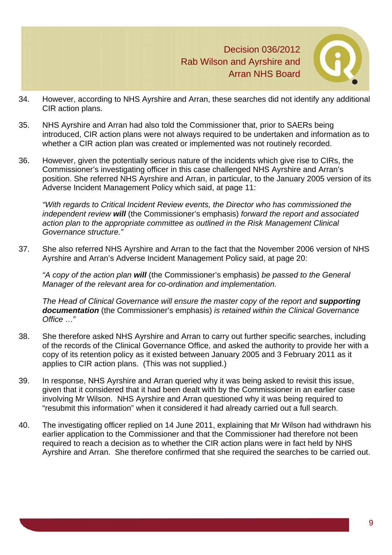

- 34. However, according to NHS Ayrshire and Arran, these searches did not identify any additional CIR action plans.
- 35. NHS Ayrshire and Arran had also told the Commissioner that, prior to SAERs being introduced, CIR action plans were not always required to be undertaken and information as to whether a CIR action plan was created or implemented was not routinely recorded.
- 36. However, given the potentially serious nature of the incidents which give rise to CIRs, the Commissioner's investigating officer in this case challenged NHS Ayrshire and Arran's position. She referred NHS Ayrshire and Arran, in particular, to the January 2005 version of its Adverse Incident Management Policy which said, at page 11:

*"With regards to Critical Incident Review events, the Director who has commissioned the independent review will* (the Commissioner's emphasis) *forward the report and associated action plan to the appropriate committee as outlined in the Risk Management Clinical Governance structure."* 

37. She also referred NHS Ayrshire and Arran to the fact that the November 2006 version of NHS Ayrshire and Arran's Adverse Incident Management Policy said, at page 20:

*"A copy of the action plan will* (the Commissioner's emphasis) *be passed to the General Manager of the relevant area for co-ordination and implementation.* 

*The Head of Clinical Governance will ensure the master copy of the report and supporting documentation* (the Commissioner's emphasis) *is retained within the Clinical Governance Office …*"

- 38. She therefore asked NHS Ayrshire and Arran to carry out further specific searches, including of the records of the Clinical Governance Office, and asked the authority to provide her with a copy of its retention policy as it existed between January 2005 and 3 February 2011 as it applies to CIR action plans. (This was not supplied.)
- 39. In response, NHS Ayrshire and Arran queried why it was being asked to revisit this issue, given that it considered that it had been dealt with by the Commissioner in an earlier case involving Mr Wilson. NHS Ayrshire and Arran questioned why it was being required to "resubmit this information" when it considered it had already carried out a full search.
- 40. The investigating officer replied on 14 June 2011, explaining that Mr Wilson had withdrawn his earlier application to the Commissioner and that the Commissioner had therefore not been required to reach a decision as to whether the CIR action plans were in fact held by NHS Ayrshire and Arran. She therefore confirmed that she required the searches to be carried out.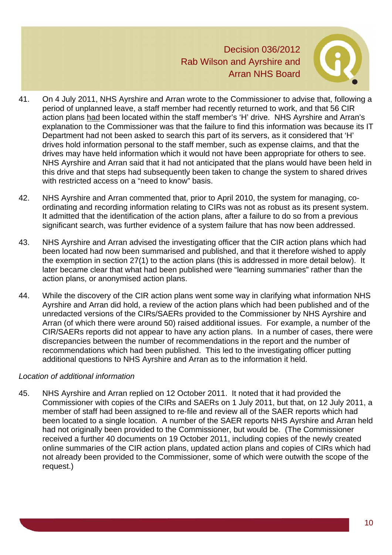

- 41. On 4 July 2011, NHS Ayrshire and Arran wrote to the Commissioner to advise that, following a period of unplanned leave, a staff member had recently returned to work, and that 56 CIR action plans had been located within the staff member's 'H' drive. NHS Ayrshire and Arran's explanation to the Commissioner was that the failure to find this information was because its IT Department had not been asked to search this part of its servers, as it considered that 'H' drives hold information personal to the staff member, such as expense claims, and that the drives may have held information which it would not have been appropriate for others to see. NHS Ayrshire and Arran said that it had not anticipated that the plans would have been held in this drive and that steps had subsequently been taken to change the system to shared drives with restricted access on a "need to know" basis.
- 42. NHS Ayrshire and Arran commented that, prior to April 2010, the system for managing, coordinating and recording information relating to CIRs was not as robust as its present system. It admitted that the identification of the action plans, after a failure to do so from a previous significant search, was further evidence of a system failure that has now been addressed.
- 43. NHS Ayrshire and Arran advised the investigating officer that the CIR action plans which had been located had now been summarised and published, and that it therefore wished to apply the exemption in section 27(1) to the action plans (this is addressed in more detail below). It later became clear that what had been published were "learning summaries" rather than the action plans, or anonymised action plans.
- 44. While the discovery of the CIR action plans went some way in clarifying what information NHS Ayrshire and Arran did hold, a review of the action plans which had been published and of the unredacted versions of the CIRs/SAERs provided to the Commissioner by NHS Ayrshire and Arran (of which there were around 50) raised additional issues. For example, a number of the CIR/SAERs reports did not appear to have any action plans. In a number of cases, there were discrepancies between the number of recommendations in the report and the number of recommendations which had been published. This led to the investigating officer putting additional questions to NHS Ayrshire and Arran as to the information it held.

#### *Location of additional information*

45. NHS Ayrshire and Arran replied on 12 October 2011. It noted that it had provided the Commissioner with copies of the CIRs and SAERs on 1 July 2011, but that, on 12 July 2011, a member of staff had been assigned to re-file and review all of the SAER reports which had been located to a single location. A number of the SAER reports NHS Ayrshire and Arran held had not originally been provided to the Commissioner, but would be. (The Commissioner received a further 40 documents on 19 October 2011, including copies of the newly created online summaries of the CIR action plans, updated action plans and copies of CIRs which had not already been provided to the Commissioner, some of which were outwith the scope of the request.)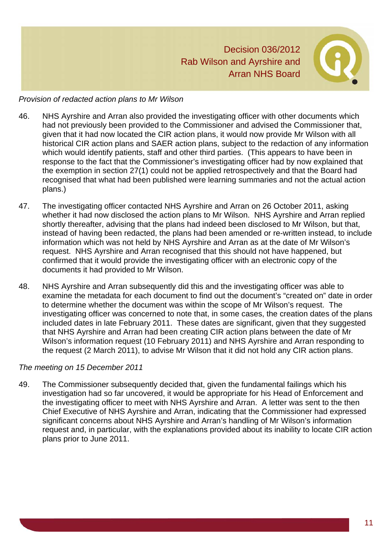

#### *Provision of redacted action plans to Mr Wilson*

- 46. NHS Ayrshire and Arran also provided the investigating officer with other documents which had not previously been provided to the Commissioner and advised the Commissioner that, given that it had now located the CIR action plans, it would now provide Mr Wilson with all historical CIR action plans and SAER action plans, subject to the redaction of any information which would identify patients, staff and other third parties. (This appears to have been in response to the fact that the Commissioner's investigating officer had by now explained that the exemption in section 27(1) could not be applied retrospectively and that the Board had recognised that what had been published were learning summaries and not the actual action plans.)
- 47. The investigating officer contacted NHS Ayrshire and Arran on 26 October 2011, asking whether it had now disclosed the action plans to Mr Wilson. NHS Ayrshire and Arran replied shortly thereafter, advising that the plans had indeed been disclosed to Mr Wilson, but that, instead of having been redacted, the plans had been amended or re-written instead, to include information which was not held by NHS Ayrshire and Arran as at the date of Mr Wilson's request. NHS Ayrshire and Arran recognised that this should not have happened, but confirmed that it would provide the investigating officer with an electronic copy of the documents it had provided to Mr Wilson.
- 48. NHS Ayrshire and Arran subsequently did this and the investigating officer was able to examine the metadata for each document to find out the document's "created on" date in order to determine whether the document was within the scope of Mr Wilson's request. The investigating officer was concerned to note that, in some cases, the creation dates of the plans included dates in late February 2011. These dates are significant, given that they suggested that NHS Ayrshire and Arran had been creating CIR action plans between the date of Mr Wilson's information request (10 February 2011) and NHS Ayrshire and Arran responding to the request (2 March 2011), to advise Mr Wilson that it did not hold any CIR action plans.

#### *The meeting on 15 December 2011*

49. The Commissioner subsequently decided that, given the fundamental failings which his investigation had so far uncovered, it would be appropriate for his Head of Enforcement and the investigating officer to meet with NHS Ayrshire and Arran. A letter was sent to the then Chief Executive of NHS Ayrshire and Arran, indicating that the Commissioner had expressed significant concerns about NHS Ayrshire and Arran's handling of Mr Wilson's information request and, in particular, with the explanations provided about its inability to locate CIR action plans prior to June 2011.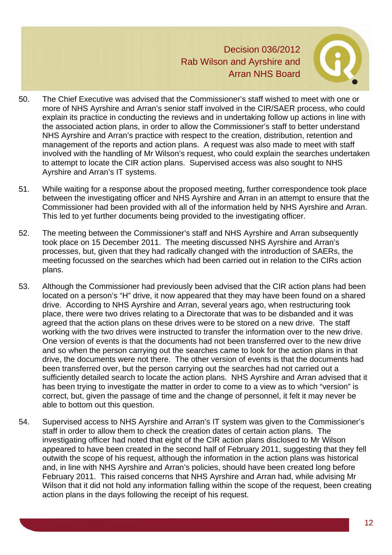

- 50. The Chief Executive was advised that the Commissioner's staff wished to meet with one or more of NHS Ayrshire and Arran's senior staff involved in the CIR/SAER process, who could explain its practice in conducting the reviews and in undertaking follow up actions in line with the associated action plans, in order to allow the Commissioner's staff to better understand NHS Ayrshire and Arran's practice with respect to the creation, distribution, retention and management of the reports and action plans. A request was also made to meet with staff involved with the handling of Mr Wilson's request, who could explain the searches undertaken to attempt to locate the CIR action plans. Supervised access was also sought to NHS Ayrshire and Arran's IT systems.
- 51. While waiting for a response about the proposed meeting, further correspondence took place between the investigating officer and NHS Ayrshire and Arran in an attempt to ensure that the Commissioner had been provided with all of the information held by NHS Ayrshire and Arran. This led to yet further documents being provided to the investigating officer.
- 52. The meeting between the Commissioner's staff and NHS Ayrshire and Arran subsequently took place on 15 December 2011. The meeting discussed NHS Ayrshire and Arran's processes, but, given that they had radically changed with the introduction of SAERs, the meeting focussed on the searches which had been carried out in relation to the CIRs action plans.
- 53. Although the Commissioner had previously been advised that the CIR action plans had been located on a person's "H" drive, it now appeared that they may have been found on a shared drive. According to NHS Ayrshire and Arran, several years ago, when restructuring took place, there were two drives relating to a Directorate that was to be disbanded and it was agreed that the action plans on these drives were to be stored on a new drive. The staff working with the two drives were instructed to transfer the information over to the new drive. One version of events is that the documents had not been transferred over to the new drive and so when the person carrying out the searches came to look for the action plans in that drive, the documents were not there. The other version of events is that the documents had been transferred over, but the person carrying out the searches had not carried out a sufficiently detailed search to locate the action plans. NHS Ayrshire and Arran advised that it has been trying to investigate the matter in order to come to a view as to which "version" is correct, but, given the passage of time and the change of personnel, it felt it may never be able to bottom out this question.
- 54. Supervised access to NHS Ayrshire and Arran's IT system was given to the Commissioner's staff in order to allow them to check the creation dates of certain action plans. The investigating officer had noted that eight of the CIR action plans disclosed to Mr Wilson appeared to have been created in the second half of February 2011, suggesting that they fell outwith the scope of his request, although the information in the action plans was historical and, in line with NHS Ayrshire and Arran's policies, should have been created long before February 2011. This raised concerns that NHS Ayrshire and Arran had, while advising Mr Wilson that it did not hold any information falling within the scope of the request, been creating action plans in the days following the receipt of his request.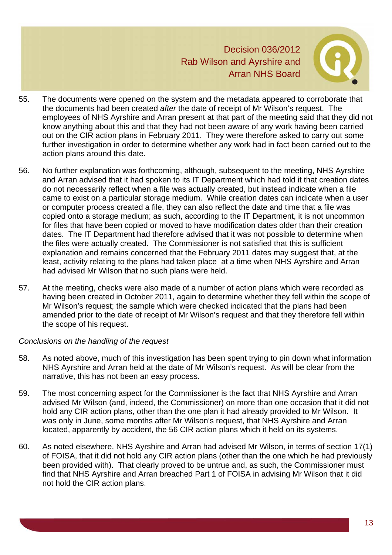

- 55. The documents were opened on the system and the metadata appeared to corroborate that the documents had been created *after* the date of receipt of Mr Wilson's request. The employees of NHS Ayrshire and Arran present at that part of the meeting said that they did not know anything about this and that they had not been aware of any work having been carried out on the CIR action plans in February 2011. They were therefore asked to carry out some further investigation in order to determine whether any work had in fact been carried out to the action plans around this date.
- 56. No further explanation was forthcoming, although, subsequent to the meeting, NHS Ayrshire and Arran advised that it had spoken to its IT Department which had told it that creation dates do not necessarily reflect when a file was actually created, but instead indicate when a file came to exist on a particular storage medium. While creation dates can indicate when a user or computer process created a file, they can also reflect the date and time that a file was copied onto a storage medium; as such, according to the IT Department, it is not uncommon for files that have been copied or moved to have modification dates older than their creation dates. The IT Department had therefore advised that it was not possible to determine when the files were actually created. The Commissioner is not satisfied that this is sufficient explanation and remains concerned that the February 2011 dates may suggest that, at the least, activity relating to the plans had taken place at a time when NHS Ayrshire and Arran had advised Mr Wilson that no such plans were held.
- 57. At the meeting, checks were also made of a number of action plans which were recorded as having been created in October 2011, again to determine whether they fell within the scope of Mr Wilson's request; the sample which were checked indicated that the plans had been amended prior to the date of receipt of Mr Wilson's request and that they therefore fell within the scope of his request.

#### *Conclusions on the handling of the request*

- 58. As noted above, much of this investigation has been spent trying to pin down what information NHS Ayrshire and Arran held at the date of Mr Wilson's request. As will be clear from the narrative, this has not been an easy process.
- 59. The most concerning aspect for the Commissioner is the fact that NHS Ayrshire and Arran advised Mr Wilson (and, indeed, the Commissioner) on more than one occasion that it did not hold any CIR action plans, other than the one plan it had already provided to Mr Wilson. It was only in June, some months after Mr Wilson's request, that NHS Ayrshire and Arran located, apparently by accident, the 56 CIR action plans which it held on its systems.
- 60. As noted elsewhere, NHS Ayrshire and Arran had advised Mr Wilson, in terms of section 17(1) of FOISA, that it did not hold any CIR action plans (other than the one which he had previously been provided with). That clearly proved to be untrue and, as such, the Commissioner must find that NHS Ayrshire and Arran breached Part 1 of FOISA in advising Mr Wilson that it did not hold the CIR action plans.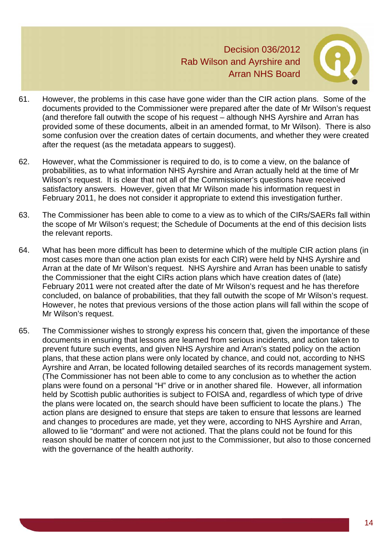

- 61. However, the problems in this case have gone wider than the CIR action plans. Some of the documents provided to the Commissioner were prepared after the date of Mr Wilson's request (and therefore fall outwith the scope of his request – although NHS Ayrshire and Arran has provided some of these documents, albeit in an amended format, to Mr Wilson). There is also some confusion over the creation dates of certain documents, and whether they were created after the request (as the metadata appears to suggest).
- 62. However, what the Commissioner is required to do, is to come a view, on the balance of probabilities, as to what information NHS Ayrshire and Arran actually held at the time of Mr Wilson's request. It is clear that not all of the Commissioner's questions have received satisfactory answers. However, given that Mr Wilson made his information request in February 2011, he does not consider it appropriate to extend this investigation further.
- 63. The Commissioner has been able to come to a view as to which of the CIRs/SAERs fall within the scope of Mr Wilson's request; the Schedule of Documents at the end of this decision lists the relevant reports.
- 64. What has been more difficult has been to determine which of the multiple CIR action plans (in most cases more than one action plan exists for each CIR) were held by NHS Ayrshire and Arran at the date of Mr Wilson's request. NHS Ayrshire and Arran has been unable to satisfy the Commissioner that the eight CIRs action plans which have creation dates of (late) February 2011 were not created after the date of Mr Wilson's request and he has therefore concluded, on balance of probabilities, that they fall outwith the scope of Mr Wilson's request. However, he notes that previous versions of the those action plans will fall within the scope of Mr Wilson's request.
- 65. The Commissioner wishes to strongly express his concern that, given the importance of these documents in ensuring that lessons are learned from serious incidents, and action taken to prevent future such events, and given NHS Ayrshire and Arran's stated policy on the action plans, that these action plans were only located by chance, and could not, according to NHS Ayrshire and Arran, be located following detailed searches of its records management system. (The Commissioner has not been able to come to any conclusion as to whether the action plans were found on a personal "H" drive or in another shared file. However, all information held by Scottish public authorities is subject to FOISA and, regardless of which type of drive the plans were located on, the search should have been sufficient to locate the plans.) The action plans are designed to ensure that steps are taken to ensure that lessons are learned and changes to procedures are made, yet they were, according to NHS Ayrshire and Arran, allowed to lie "dormant" and were not actioned. That the plans could not be found for this reason should be matter of concern not just to the Commissioner, but also to those concerned with the governance of the health authority.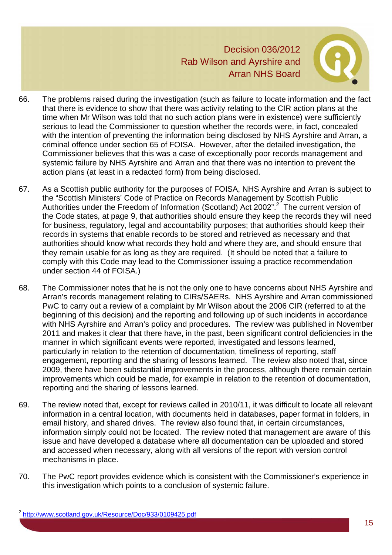

- 66. The problems raised during the investigation (such as failure to locate information and the fact that there is evidence to show that there was activity relating to the CIR action plans at the time when Mr Wilson was told that no such action plans were in existence) were sufficiently serious to lead the Commissioner to question whether the records were, in fact, concealed with the intention of preventing the information being disclosed by NHS Ayrshire and Arran, a criminal offence under section 65 of FOISA. However, after the detailed investigation, the Commissioner believes that this was a case of exceptionally poor records management and systemic failure by NHS Ayrshire and Arran and that there was no intention to prevent the action plans (at least in a redacted form) from being disclosed.
- 67. As a Scottish public authority for the purposes of FOISA, NHS Ayrshire and Arran is subject to the "Scottish Ministers' Code of Practice on Records Management by Scottish Public Authorities under the Freedom of Information (Scotland) Act 2002".<sup>2</sup> The current version of the Code states, at page 9, that authorities should ensure they keep the records they will need for business, regulatory, legal and accountability purposes; that authorities should keep their records in systems that enable records to be stored and retrieved as necessary and that authorities should know what records they hold and where they are, and should ensure that they remain usable for as long as they are required. (It should be noted that a failure to comply with this Code may lead to the Commissioner issuing a practice recommendation under section 44 of FOISA.)
- 68. The Commissioner notes that he is not the only one to have concerns about NHS Ayrshire and Arran's records management relating to CIRs/SAERs. NHS Ayrshire and Arran commissioned PwC to carry out a review of a complaint by Mr Wilson about the 2006 CIR (referred to at the beginning of this decision) and the reporting and following up of such incidents in accordance with NHS Ayrshire and Arran's policy and procedures. The review was published in November 2011 and makes it clear that there have, in the past, been significant control deficiencies in the manner in which significant events were reported, investigated and lessons learned, particularly in relation to the retention of documentation, timeliness of reporting, staff engagement, reporting and the sharing of lessons learned. The review also noted that, since 2009, there have been substantial improvements in the process, although there remain certain improvements which could be made, for example in relation to the retention of documentation, reporting and the sharing of lessons learned.
- 69. The review noted that, except for reviews called in 2010/11, it was difficult to locate all relevant information in a central location, with documents held in databases, paper format in folders, in email history, and shared drives. The review also found that, in certain circumstances, information simply could not be located. The review noted that management are aware of this issue and have developed a database where all documentation can be uploaded and stored and accessed when necessary, along with all versions of the report with version control mechanisms in place.
- 70. The PwC report provides evidence which is consistent with the Commissioner's experience in this investigation which points to a conclusion of systemic failure.

l

<sup>2</sup> http://www.scotland.gov.uk/Resource/Doc/933/0109425.pdf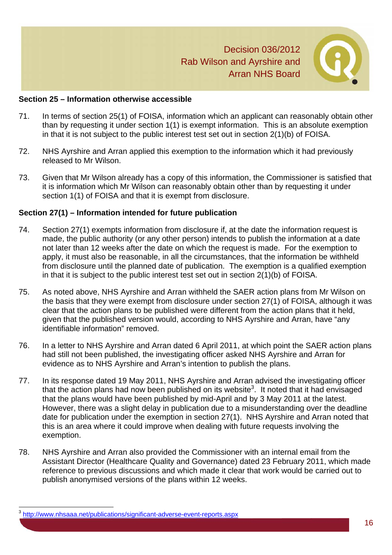

#### **Section 25 – Information otherwise accessible**

- 71. In terms of section 25(1) of FOISA, information which an applicant can reasonably obtain other than by requesting it under section 1(1) is exempt information. This is an absolute exemption in that it is not subject to the public interest test set out in section 2(1)(b) of FOISA.
- 72. NHS Ayrshire and Arran applied this exemption to the information which it had previously released to Mr Wilson.
- 73. Given that Mr Wilson already has a copy of this information, the Commissioner is satisfied that it is information which Mr Wilson can reasonably obtain other than by requesting it under section 1(1) of FOISA and that it is exempt from disclosure.

#### **Section 27(1) – Information intended for future publication**

- 74. Section 27(1) exempts information from disclosure if, at the date the information request is made, the public authority (or any other person) intends to publish the information at a date not later than 12 weeks after the date on which the request is made. For the exemption to apply, it must also be reasonable, in all the circumstances, that the information be withheld from disclosure until the planned date of publication. The exemption is a qualified exemption in that it is subject to the public interest test set out in section 2(1)(b) of FOISA.
- 75. As noted above, NHS Ayrshire and Arran withheld the SAER action plans from Mr Wilson on the basis that they were exempt from disclosure under section 27(1) of FOISA, although it was clear that the action plans to be published were different from the action plans that it held, given that the published version would, according to NHS Ayrshire and Arran, have "any identifiable information" removed.
- 76. In a letter to NHS Ayrshire and Arran dated 6 April 2011, at which point the SAER action plans had still not been published, the investigating officer asked NHS Ayrshire and Arran for evidence as to NHS Ayrshire and Arran's intention to publish the plans.
- 77. In its response dated 19 May 2011, NHS Ayrshire and Arran advised the investigating officer that the action plans had now been published on its website<sup>3</sup>. It noted that it had envisaged that the plans would have been published by mid-April and by 3 May 2011 at the latest. However, there was a slight delay in publication due to a misunderstanding over the deadline date for publication under the exemption in section 27(1). NHS Ayrshire and Arran noted that this is an area where it could improve when dealing with future requests involving the exemption.
- 78. NHS Ayrshire and Arran also provided the Commissioner with an internal email from the Assistant Director (Healthcare Quality and Governance) dated 23 February 2011, which made reference to previous discussions and which made it clear that work would be carried out to publish anonymised versions of the plans within 12 weeks.

l

<sup>3</sup> http://www.nhsaaa.net/publications/significant-adverse-event-reports.aspx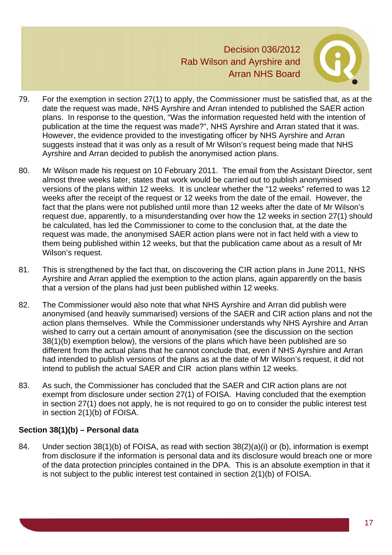

- 79. For the exemption in section 27(1) to apply, the Commissioner must be satisfied that, as at the date the request was made, NHS Ayrshire and Arran intended to published the SAER action plans. In response to the question, "Was the information requested held with the intention of publication at the time the request was made?", NHS Ayrshire and Arran stated that it was. However, the evidence provided to the investigating officer by NHS Ayrshire and Arran suggests instead that it was only as a result of Mr Wilson's request being made that NHS Ayrshire and Arran decided to publish the anonymised action plans.
- 80. Mr Wilson made his request on 10 February 2011. The email from the Assistant Director, sent almost three weeks later, states that work would be carried out to publish anonymised versions of the plans within 12 weeks. It is unclear whether the "12 weeks" referred to was 12 weeks after the receipt of the request or 12 weeks from the date of the email. However, the fact that the plans were not published until more than 12 weeks after the date of Mr Wilson's request due, apparently, to a misunderstanding over how the 12 weeks in section 27(1) should be calculated, has led the Commissioner to come to the conclusion that, at the date the request was made, the anonymised SAER action plans were not in fact held with a view to them being published within 12 weeks, but that the publication came about as a result of Mr Wilson's request.
- 81. This is strengthened by the fact that, on discovering the CIR action plans in June 2011, NHS Ayrshire and Arran applied the exemption to the action plans, again apparently on the basis that a version of the plans had just been published within 12 weeks.
- 82. The Commissioner would also note that what NHS Ayrshire and Arran did publish were anonymised (and heavily summarised) versions of the SAER and CIR action plans and not the action plans themselves. While the Commissioner understands why NHS Ayrshire and Arran wished to carry out a certain amount of anonymisation (see the discussion on the section 38(1)(b) exemption below), the versions of the plans which have been published are so different from the actual plans that he cannot conclude that, even if NHS Ayrshire and Arran had intended to publish versions of the plans as at the date of Mr Wilson's request, it did not intend to publish the actual SAER and CIR action plans within 12 weeks.
- 83. As such, the Commissioner has concluded that the SAER and CIR action plans are not exempt from disclosure under section 27(1) of FOISA. Having concluded that the exemption in section 27(1) does not apply, he is not required to go on to consider the public interest test in section 2(1)(b) of FOISA.

# **Section 38(1)(b) – Personal data**

84. Under section 38(1)(b) of FOISA, as read with section 38(2)(a)(i) or (b), information is exempt from disclosure if the information is personal data and its disclosure would breach one or more of the data protection principles contained in the DPA. This is an absolute exemption in that it is not subject to the public interest test contained in section 2(1)(b) of FOISA.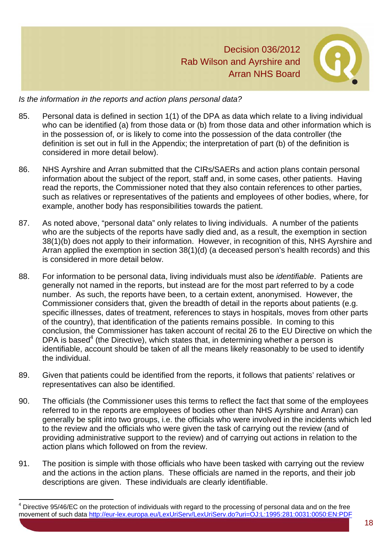

#### *Is the information in the reports and action plans personal data?*

- 85. Personal data is defined in section 1(1) of the DPA as data which relate to a living individual who can be identified (a) from those data or (b) from those data and other information which is in the possession of, or is likely to come into the possession of the data controller (the definition is set out in full in the Appendix; the interpretation of part (b) of the definition is considered in more detail below).
- 86. NHS Ayrshire and Arran submitted that the CIRs/SAERs and action plans contain personal information about the subject of the report, staff and, in some cases, other patients. Having read the reports, the Commissioner noted that they also contain references to other parties, such as relatives or representatives of the patients and employees of other bodies, where, for example, another body has responsibilities towards the patient.
- 87. As noted above, "personal data" only relates to living individuals. A number of the patients who are the subjects of the reports have sadly died and, as a result, the exemption in section 38(1)(b) does not apply to their information. However, in recognition of this, NHS Ayrshire and Arran applied the exemption in section 38(1)(d) (a deceased person's health records) and this is considered in more detail below.
- 88. For information to be personal data, living individuals must also be *identifiable*. Patients are generally not named in the reports, but instead are for the most part referred to by a code number. As such, the reports have been, to a certain extent, anonymised. However, the Commissioner considers that, given the breadth of detail in the reports about patients (e.g. specific illnesses, dates of treatment, references to stays in hospitals, moves from other parts of the country), that identification of the patients remains possible. In coming to this conclusion, the Commissioner has taken account of recital 26 to the EU Directive on which the DPA is based<sup>4</sup> (the Directive), which states that, in determining whether a person is identifiable, account should be taken of all the means likely reasonably to be used to identify the individual.
- 89. Given that patients could be identified from the reports, it follows that patients' relatives or representatives can also be identified.
- 90. The officials (the Commissioner uses this terms to reflect the fact that some of the employees referred to in the reports are employees of bodies other than NHS Ayrshire and Arran) can generally be split into two groups, i.e. the officials who were involved in the incidents which led to the review and the officials who were given the task of carrying out the review (and of providing administrative support to the review) and of carrying out actions in relation to the action plans which followed on from the review.
- 91. The position is simple with those officials who have been tasked with carrying out the review and the actions in the action plans. These officials are named in the reports, and their job descriptions are given. These individuals are clearly identifiable.

l

 $4$  Directive 95/46/EC on the protection of individuals with regard to the processing of personal data and on the free movement of such data http://eur-lex.europa.eu/LexUriServ/LexUriServ.do?uri=OJ:L:1995:281:0031:0050:EN:PDF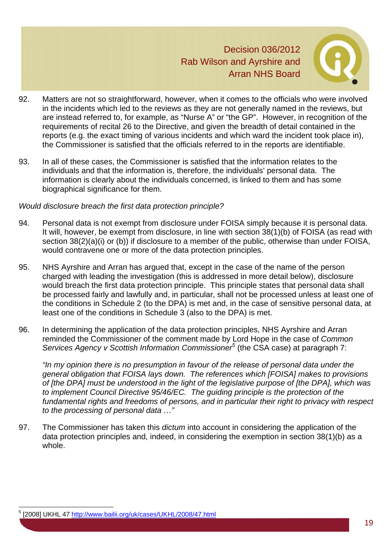

- 92. Matters are not so straightforward, however, when it comes to the officials who were involved in the incidents which led to the reviews as they are not generally named in the reviews, but are instead referred to, for example, as "Nurse A" or "the GP". However, in recognition of the requirements of recital 26 to the Directive, and given the breadth of detail contained in the reports (e.g. the exact timing of various incidents and which ward the incident took place in), the Commissioner is satisfied that the officials referred to in the reports are identifiable.
- 93. In all of these cases, the Commissioner is satisfied that the information relates to the individuals and that the information is, therefore, the individuals' personal data. The information is clearly about the individuals concerned, is linked to them and has some biographical significance for them.

#### *Would disclosure breach the first data protection principle?*

- 94. Personal data is not exempt from disclosure under FOISA simply because it is personal data. It will, however, be exempt from disclosure, in line with section 38(1)(b) of FOISA (as read with section 38(2)(a)(i) or (b)) if disclosure to a member of the public, otherwise than under FOISA, would contravene one or more of the data protection principles.
- 95. NHS Ayrshire and Arran has argued that, except in the case of the name of the person charged with leading the investigation (this is addressed in more detail below), disclosure would breach the first data protection principle. This principle states that personal data shall be processed fairly and lawfully and, in particular, shall not be processed unless at least one of the conditions in Schedule 2 (to the DPA) is met and, in the case of sensitive personal data, at least one of the conditions in Schedule 3 (also to the DPA) is met.
- 96. In determining the application of the data protection principles, NHS Ayrshire and Arran reminded the Commissioner of the comment made by Lord Hope in the case of *Common Services Agency v Scottish Information Commissioner<sup>5</sup>* (the CSA case) at paragraph 7:

*"In my opinion there is no presumption in favour of the release of personal data under the general obligation that FOISA lays down. The references which [FOISA] makes to provisions of [the DPA] must be understood in the light of the legislative purpose of [the DPA], which was to implement Council Directive 95/46/EC. The guiding principle is the protection of the fundamental rights and freedoms of persons, and in particular their right to privacy with respect to the processing of personal data …"* 

97. The Commissioner has taken this *dictum* into account in considering the application of the data protection principles and, indeed, in considering the exemption in section 38(1)(b) as a whole.

l

<sup>5</sup> [2008] UKHL 47 http://www.bailii.org/uk/cases/UKHL/2008/47.html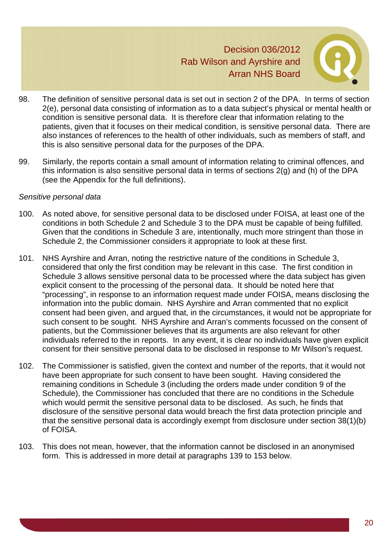

- 98. The definition of sensitive personal data is set out in section 2 of the DPA. In terms of section 2(e), personal data consisting of information as to a data subject's physical or mental health or condition is sensitive personal data. It is therefore clear that information relating to the patients, given that it focuses on their medical condition, is sensitive personal data. There are also instances of references to the health of other individuals, such as members of staff, and this is also sensitive personal data for the purposes of the DPA.
- 99. Similarly, the reports contain a small amount of information relating to criminal offences, and this information is also sensitive personal data in terms of sections 2(g) and (h) of the DPA (see the Appendix for the full definitions).

#### *Sensitive personal data*

- 100. As noted above, for sensitive personal data to be disclosed under FOISA, at least one of the conditions in both Schedule 2 and Schedule 3 to the DPA must be capable of being fulfilled. Given that the conditions in Schedule 3 are, intentionally, much more stringent than those in Schedule 2, the Commissioner considers it appropriate to look at these first.
- 101. NHS Ayrshire and Arran, noting the restrictive nature of the conditions in Schedule 3, considered that only the first condition may be relevant in this case. The first condition in Schedule 3 allows sensitive personal data to be processed where the data subject has given explicit consent to the processing of the personal data. It should be noted here that "processing", in response to an information request made under FOISA, means disclosing the information into the public domain. NHS Ayrshire and Arran commented that no explicit consent had been given, and argued that, in the circumstances, it would not be appropriate for such consent to be sought. NHS Ayrshire and Arran's comments focussed on the consent of patients, but the Commissioner believes that its arguments are also relevant for other individuals referred to the in reports. In any event, it is clear no individuals have given explicit consent for their sensitive personal data to be disclosed in response to Mr Wilson's request.
- 102. The Commissioner is satisfied, given the context and number of the reports, that it would not have been appropriate for such consent to have been sought. Having considered the remaining conditions in Schedule 3 (including the orders made under condition 9 of the Schedule), the Commissioner has concluded that there are no conditions in the Schedule which would permit the sensitive personal data to be disclosed. As such, he finds that disclosure of the sensitive personal data would breach the first data protection principle and that the sensitive personal data is accordingly exempt from disclosure under section 38(1)(b) of FOISA.
- 103. This does not mean, however, that the information cannot be disclosed in an anonymised form. This is addressed in more detail at paragraphs 139 to 153 below.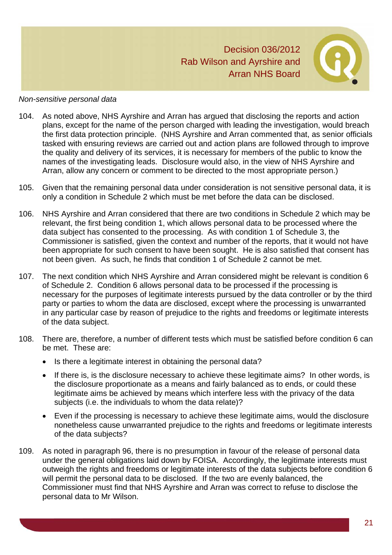

#### *Non-sensitive personal data*

- 104. As noted above, NHS Ayrshire and Arran has argued that disclosing the reports and action plans, except for the name of the person charged with leading the investigation, would breach the first data protection principle. (NHS Ayrshire and Arran commented that, as senior officials tasked with ensuring reviews are carried out and action plans are followed through to improve the quality and delivery of its services, it is necessary for members of the public to know the names of the investigating leads. Disclosure would also, in the view of NHS Ayrshire and Arran, allow any concern or comment to be directed to the most appropriate person.)
- 105. Given that the remaining personal data under consideration is not sensitive personal data, it is only a condition in Schedule 2 which must be met before the data can be disclosed.
- 106. NHS Ayrshire and Arran considered that there are two conditions in Schedule 2 which may be relevant, the first being condition 1, which allows personal data to be processed where the data subject has consented to the processing. As with condition 1 of Schedule 3, the Commissioner is satisfied, given the context and number of the reports, that it would not have been appropriate for such consent to have been sought. He is also satisfied that consent has not been given. As such, he finds that condition 1 of Schedule 2 cannot be met.
- 107. The next condition which NHS Ayrshire and Arran considered might be relevant is condition 6 of Schedule 2. Condition 6 allows personal data to be processed if the processing is necessary for the purposes of legitimate interests pursued by the data controller or by the third party or parties to whom the data are disclosed, except where the processing is unwarranted in any particular case by reason of prejudice to the rights and freedoms or legitimate interests of the data subject.
- 108. There are, therefore, a number of different tests which must be satisfied before condition 6 can be met. These are:
	- Is there a legitimate interest in obtaining the personal data?
	- If there is, is the disclosure necessary to achieve these legitimate aims? In other words, is the disclosure proportionate as a means and fairly balanced as to ends, or could these legitimate aims be achieved by means which interfere less with the privacy of the data subjects (i.e. the individuals to whom the data relate)?
	- Even if the processing is necessary to achieve these legitimate aims, would the disclosure nonetheless cause unwarranted prejudice to the rights and freedoms or legitimate interests of the data subjects?
- 109. As noted in paragraph 96, there is no presumption in favour of the release of personal data under the general obligations laid down by FOISA. Accordingly, the legitimate interests must outweigh the rights and freedoms or legitimate interests of the data subjects before condition 6 will permit the personal data to be disclosed. If the two are evenly balanced, the Commissioner must find that NHS Ayrshire and Arran was correct to refuse to disclose the personal data to Mr Wilson.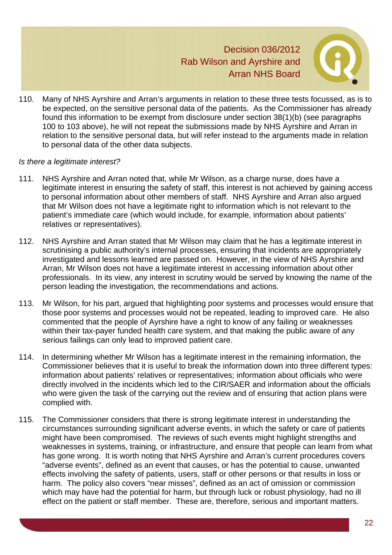

110. Many of NHS Ayrshire and Arran's arguments in relation to these three tests focussed, as is to be expected, on the sensitive personal data of the patients. As the Commissioner has already found this information to be exempt from disclosure under section 38(1)(b) (see paragraphs 100 to 103 above), he will not repeat the submissions made by NHS Ayrshire and Arran in relation to the sensitive personal data, but will refer instead to the arguments made in relation to personal data of the other data subjects.

#### *Is there a legitimate interest?*

- 111. NHS Ayrshire and Arran noted that, while Mr Wilson, as a charge nurse, does have a legitimate interest in ensuring the safety of staff, this interest is not achieved by gaining access to personal information about other members of staff. NHS Ayrshire and Arran also argued that Mr Wilson does not have a legitimate right to information which is not relevant to the patient's immediate care (which would include, for example, information about patients' relatives or representatives).
- 112. NHS Ayrshire and Arran stated that Mr Wilson may claim that he has a legitimate interest in scrutinising a public authority's internal processes, ensuring that incidents are appropriately investigated and lessons learned are passed on. However, in the view of NHS Ayrshire and Arran, Mr Wilson does not have a legitimate interest in accessing information about other professionals. In its view, any interest in scrutiny would be served by knowing the name of the person leading the investigation, the recommendations and actions.
- 113. Mr Wilson, for his part, argued that highlighting poor systems and processes would ensure that those poor systems and processes would not be repeated, leading to improved care. He also commented that the people of Ayrshire have a right to know of any failing or weaknesses within their tax-payer funded health care system, and that making the public aware of any serious failings can only lead to improved patient care.
- 114. In determining whether Mr Wilson has a legitimate interest in the remaining information, the Commissioner believes that it is useful to break the information down into three different types: information about patients' relatives or representatives; information about officials who were directly involved in the incidents which led to the CIR/SAER and information about the officials who were given the task of the carrying out the review and of ensuring that action plans were complied with.
- 115. The Commissioner considers that there is strong legitimate interest in understanding the circumstances surrounding significant adverse events, in which the safety or care of patients might have been compromised. The reviews of such events might highlight strengths and weaknesses in systems, training, or infrastructure, and ensure that people can learn from what has gone wrong. It is worth noting that NHS Ayrshire and Arran's current procedures covers "adverse events", defined as an event that causes, or has the potential to cause, unwanted effects involving the safety of patients, users, staff or other persons or that results in loss or harm. The policy also covers "near misses", defined as an act of omission or commission which may have had the potential for harm, but through luck or robust physiology, had no ill effect on the patient or staff member. These are, therefore, serious and important matters.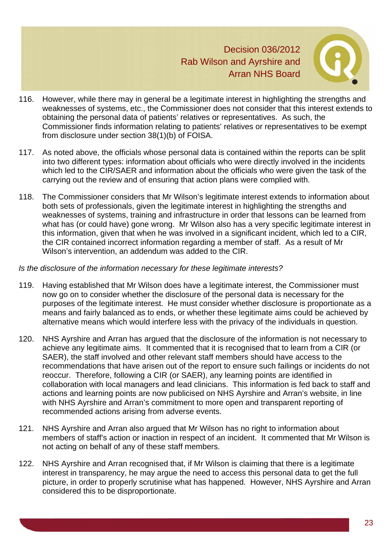

- 116. However, while there may in general be a legitimate interest in highlighting the strengths and weaknesses of systems, etc., the Commissioner does not consider that this interest extends to obtaining the personal data of patients' relatives or representatives. As such, the Commissioner finds information relating to patients' relatives or representatives to be exempt from disclosure under section 38(1)(b) of FOISA.
- 117. As noted above, the officials whose personal data is contained within the reports can be split into two different types: information about officials who were directly involved in the incidents which led to the CIR/SAER and information about the officials who were given the task of the carrying out the review and of ensuring that action plans were complied with.
- 118. The Commissioner considers that Mr Wilson's legitimate interest extends to information about both sets of professionals, given the legitimate interest in highlighting the strengths and weaknesses of systems, training and infrastructure in order that lessons can be learned from what has (or could have) gone wrong. Mr Wilson also has a very specific legitimate interest in this information, given that when he was involved in a significant incident, which led to a CIR, the CIR contained incorrect information regarding a member of staff. As a result of Mr Wilson's intervention, an addendum was added to the CIR.

#### *Is the disclosure of the information necessary for these legitimate interests?*

- 119. Having established that Mr Wilson does have a legitimate interest, the Commissioner must now go on to consider whether the disclosure of the personal data is necessary for the purposes of the legitimate interest. He must consider whether disclosure is proportionate as a means and fairly balanced as to ends, or whether these legitimate aims could be achieved by alternative means which would interfere less with the privacy of the individuals in question.
- 120. NHS Ayrshire and Arran has argued that the disclosure of the information is not necessary to achieve any legitimate aims. It commented that it is recognised that to learn from a CIR (or SAER), the staff involved and other relevant staff members should have access to the recommendations that have arisen out of the report to ensure such failings or incidents do not reoccur. Therefore, following a CIR (or SAER), any learning points are identified in collaboration with local managers and lead clinicians. This information is fed back to staff and actions and learning points are now publicised on NHS Ayrshire and Arran's website, in line with NHS Ayrshire and Arran's commitment to more open and transparent reporting of recommended actions arising from adverse events.
- 121. NHS Ayrshire and Arran also argued that Mr Wilson has no right to information about members of staff's action or inaction in respect of an incident. It commented that Mr Wilson is not acting on behalf of any of these staff members.
- 122. NHS Ayrshire and Arran recognised that, if Mr Wilson is claiming that there is a legitimate interest in transparency, he may argue the need to access this personal data to get the full picture, in order to properly scrutinise what has happened. However, NHS Ayrshire and Arran considered this to be disproportionate.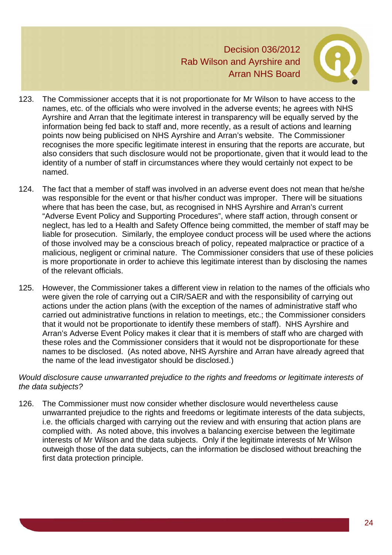

- 123. The Commissioner accepts that it is not proportionate for Mr Wilson to have access to the names, etc. of the officials who were involved in the adverse events; he agrees with NHS Ayrshire and Arran that the legitimate interest in transparency will be equally served by the information being fed back to staff and, more recently, as a result of actions and learning points now being publicised on NHS Ayrshire and Arran's website. The Commissioner recognises the more specific legitimate interest in ensuring that the reports are accurate, but also considers that such disclosure would not be proportionate, given that it would lead to the identity of a number of staff in circumstances where they would certainly not expect to be named.
- 124. The fact that a member of staff was involved in an adverse event does not mean that he/she was responsible for the event or that his/her conduct was improper. There will be situations where that has been the case, but, as recognised in NHS Ayrshire and Arran's current "Adverse Event Policy and Supporting Procedures", where staff action, through consent or neglect, has led to a Health and Safety Offence being committed, the member of staff may be liable for prosecution. Similarly, the employee conduct process will be used where the actions of those involved may be a conscious breach of policy, repeated malpractice or practice of a malicious, negligent or criminal nature. The Commissioner considers that use of these policies is more proportionate in order to achieve this legitimate interest than by disclosing the names of the relevant officials.
- 125. However, the Commissioner takes a different view in relation to the names of the officials who were given the role of carrying out a CIR/SAER and with the responsibility of carrying out actions under the action plans (with the exception of the names of administrative staff who carried out administrative functions in relation to meetings, etc.; the Commissioner considers that it would not be proportionate to identify these members of staff). NHS Ayrshire and Arran's Adverse Event Policy makes it clear that it is members of staff who are charged with these roles and the Commissioner considers that it would not be disproportionate for these names to be disclosed. (As noted above, NHS Ayrshire and Arran have already agreed that the name of the lead investigator should be disclosed.)

#### *Would disclosure cause unwarranted prejudice to the rights and freedoms or legitimate interests of the data subjects?*

126. The Commissioner must now consider whether disclosure would nevertheless cause unwarranted prejudice to the rights and freedoms or legitimate interests of the data subjects, i.e. the officials charged with carrying out the review and with ensuring that action plans are complied with. As noted above, this involves a balancing exercise between the legitimate interests of Mr Wilson and the data subjects. Only if the legitimate interests of Mr Wilson outweigh those of the data subjects, can the information be disclosed without breaching the first data protection principle.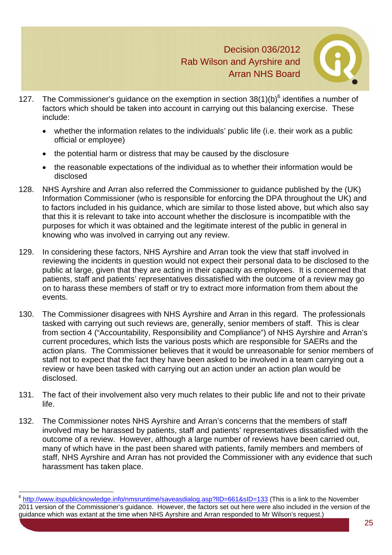

- 127. The Commissioner's guidance on the exemption in section  $38(1)(b)^6$  identifies a number of factors which should be taken into account in carrying out this balancing exercise. These include:
	- whether the information relates to the individuals' public life (i.e. their work as a public official or employee)
	- the potential harm or distress that may be caused by the disclosure
	- the reasonable expectations of the individual as to whether their information would be disclosed
- 128. NHS Ayrshire and Arran also referred the Commissioner to guidance published by the (UK) Information Commissioner (who is responsible for enforcing the DPA throughout the UK) and to factors included in his guidance, which are similar to those listed above, but which also say that this it is relevant to take into account whether the disclosure is incompatible with the purposes for which it was obtained and the legitimate interest of the public in general in knowing who was involved in carrying out any review.
- 129. In considering these factors, NHS Ayrshire and Arran took the view that staff involved in reviewing the incidents in question would not expect their personal data to be disclosed to the public at large, given that they are acting in their capacity as employees. It is concerned that patients, staff and patients' representatives dissatisfied with the outcome of a review may go on to harass these members of staff or try to extract more information from them about the events.
- 130. The Commissioner disagrees with NHS Ayrshire and Arran in this regard. The professionals tasked with carrying out such reviews are, generally, senior members of staff. This is clear from section 4 ("Accountability, Responsibility and Compliance") of NHS Ayrshire and Arran's current procedures, which lists the various posts which are responsible for SAERs and the action plans. The Commissioner believes that it would be unreasonable for senior members of staff not to expect that the fact they have been asked to be involved in a team carrying out a review or have been tasked with carrying out an action under an action plan would be disclosed.
- 131. The fact of their involvement also very much relates to their public life and not to their private life.
- 132. The Commissioner notes NHS Ayrshire and Arran's concerns that the members of staff involved may be harassed by patients, staff and patients' representatives dissatisfied with the outcome of a review. However, although a large number of reviews have been carried out, many of which have in the past been shared with patients, family members and members of staff, NHS Ayrshire and Arran has not provided the Commissioner with any evidence that such harassment has taken place.

l <sup>6</sup> http://www.itspublicknowledge.info/nmsruntime/saveasdialog.asp?IID=661&sID=133 (This is a link to the November 2011 version of the Commissioner's guidance. However, the factors set out here were also included in the version of the guidance which was extant at the time when NHS Ayrshire and Arran responded to Mr Wilson's request.)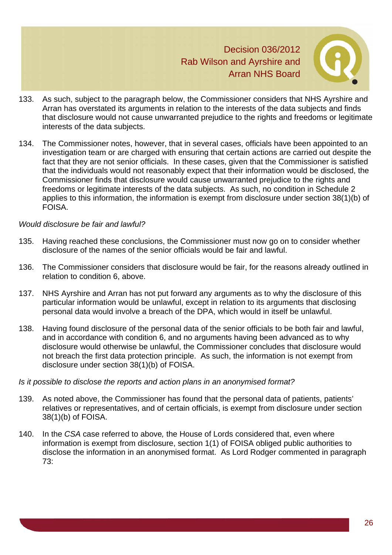

- 133. As such, subject to the paragraph below, the Commissioner considers that NHS Ayrshire and Arran has overstated its arguments in relation to the interests of the data subjects and finds that disclosure would not cause unwarranted prejudice to the rights and freedoms or legitimate interests of the data subjects.
- 134. The Commissioner notes, however, that in several cases, officials have been appointed to an investigation team or are charged with ensuring that certain actions are carried out despite the fact that they are not senior officials. In these cases, given that the Commissioner is satisfied that the individuals would not reasonably expect that their information would be disclosed, the Commissioner finds that disclosure would cause unwarranted prejudice to the rights and freedoms or legitimate interests of the data subjects. As such, no condition in Schedule 2 applies to this information, the information is exempt from disclosure under section 38(1)(b) of FOISA.

#### *Would disclosure be fair and lawful?*

- 135. Having reached these conclusions, the Commissioner must now go on to consider whether disclosure of the names of the senior officials would be fair and lawful.
- 136. The Commissioner considers that disclosure would be fair, for the reasons already outlined in relation to condition 6, above.
- 137. NHS Ayrshire and Arran has not put forward any arguments as to why the disclosure of this particular information would be unlawful, except in relation to its arguments that disclosing personal data would involve a breach of the DPA, which would in itself be unlawful.
- 138. Having found disclosure of the personal data of the senior officials to be both fair and lawful, and in accordance with condition 6, and no arguments having been advanced as to why disclosure would otherwise be unlawful, the Commissioner concludes that disclosure would not breach the first data protection principle. As such, the information is not exempt from disclosure under section 38(1)(b) of FOISA.

#### *Is it possible to disclose the reports and action plans in an anonymised format?*

- 139. As noted above, the Commissioner has found that the personal data of patients, patients' relatives or representatives, and of certain officials, is exempt from disclosure under section 38(1)(b) of FOISA.
- 140. In the *CSA* case referred to above*,* the House of Lords considered that, even where information is exempt from disclosure, section 1(1) of FOISA obliged public authorities to disclose the information in an anonymised format. As Lord Rodger commented in paragraph 73: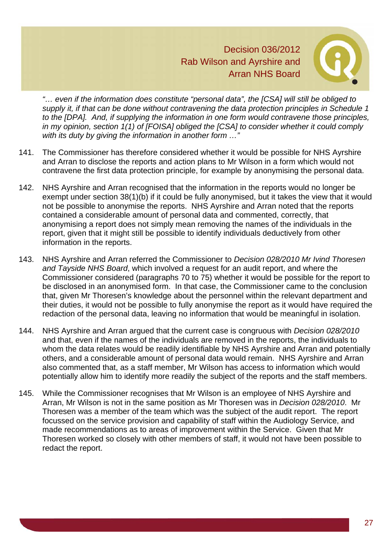

*"… even if the information does constitute "personal data", the [CSA] will still be obliged to supply it, if that can be done without contravening the data protection principles in Schedule 1 to the [DPA]. And, if supplying the information in one form would contravene those principles, in my opinion, section 1(1) of [FOISA] obliged the [CSA] to consider whether it could comply with its duty by giving the information in another form …"*

- 141. The Commissioner has therefore considered whether it would be possible for NHS Ayrshire and Arran to disclose the reports and action plans to Mr Wilson in a form which would not contravene the first data protection principle, for example by anonymising the personal data.
- 142. NHS Ayrshire and Arran recognised that the information in the reports would no longer be exempt under section 38(1)(b) if it could be fully anonymised, but it takes the view that it would not be possible to anonymise the reports. NHS Ayrshire and Arran noted that the reports contained a considerable amount of personal data and commented, correctly, that anonymising a report does not simply mean removing the names of the individuals in the report, given that it might still be possible to identify individuals deductively from other information in the reports.
- 143. NHS Ayrshire and Arran referred the Commissioner to *Decision 028/2010 Mr Ivind Thoresen and Tayside NHS Board*, which involved a request for an audit report, and where the Commissioner considered (paragraphs 70 to 75) whether it would be possible for the report to be disclosed in an anonymised form. In that case, the Commissioner came to the conclusion that, given Mr Thoresen's knowledge about the personnel within the relevant department and their duties, it would not be possible to fully anonymise the report as it would have required the redaction of the personal data, leaving no information that would be meaningful in isolation.
- 144. NHS Ayrshire and Arran argued that the current case is congruous with *Decision 028/2010* and that, even if the names of the individuals are removed in the reports, the individuals to whom the data relates would be readily identifiable by NHS Ayrshire and Arran and potentially others, and a considerable amount of personal data would remain. NHS Ayrshire and Arran also commented that, as a staff member, Mr Wilson has access to information which would potentially allow him to identify more readily the subject of the reports and the staff members.
- 145. While the Commissioner recognises that Mr Wilson is an employee of NHS Ayrshire and Arran, Mr Wilson is not in the same position as Mr Thoresen was in *Decision 028/2010*. Mr Thoresen was a member of the team which was the subject of the audit report. The report focussed on the service provision and capability of staff within the Audiology Service, and made recommendations as to areas of improvement within the Service. Given that Mr Thoresen worked so closely with other members of staff, it would not have been possible to redact the report.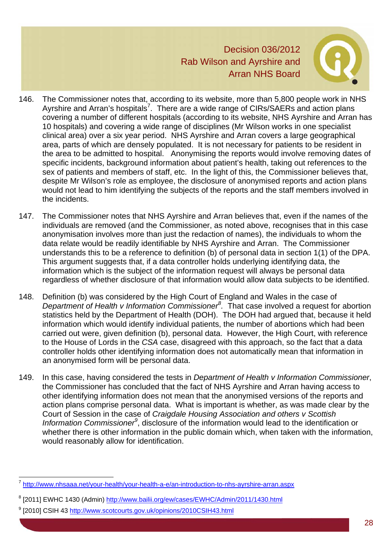

- 146. The Commissioner notes that, according to its website, more than 5,800 people work in NHS Ayrshire and Arran's hospitals<sup>7</sup>. There are a wide range of CIRs/SAERs and action plans covering a number of different hospitals (according to its website, NHS Ayrshire and Arran has 10 hospitals) and covering a wide range of disciplines (Mr Wilson works in one specialist clinical area) over a six year period. NHS Ayrshire and Arran covers a large geographical area, parts of which are densely populated. It is not necessary for patients to be resident in the area to be admitted to hospital. Anonymising the reports would involve removing dates of specific incidents, background information about patient's health, taking out references to the sex of patients and members of staff, etc. In the light of this, the Commissioner believes that, despite Mr Wilson's role as employee, the disclosure of anonymised reports and action plans would not lead to him identifying the subjects of the reports and the staff members involved in the incidents.
- 147. The Commissioner notes that NHS Ayrshire and Arran believes that, even if the names of the individuals are removed (and the Commissioner, as noted above, recognises that in this case anonymisation involves more than just the redaction of names), the individuals to whom the data relate would be readily identifiable by NHS Ayrshire and Arran. The Commissioner understands this to be a reference to definition (b) of personal data in section 1(1) of the DPA. This argument suggests that, if a data controller holds underlying identifying data, the information which is the subject of the information request will always be personal data regardless of whether disclosure of that information would allow data subjects to be identified.
- 148. Definition (b) was considered by the High Court of England and Wales in the case of *Department of Health v Information Commissioner<sup>8</sup> .* That case involved a request for abortion statistics held by the Department of Health (DOH). The DOH had argued that, because it held information which would identify individual patients, the number of abortions which had been carried out were, given definition (b), personal data. However, the High Court, with reference to the House of Lords in the *CSA* case, disagreed with this approach, so the fact that a data controller holds other identifying information does not automatically mean that information in an anonymised form will be personal data.
- 149. In this case, having considered the tests in *Department of Health v Information Commissioner*, the Commissioner has concluded that the fact of NHS Ayrshire and Arran having access to other identifying information does not mean that the anonymised versions of the reports and action plans comprise personal data. What is important is whether, as was made clear by the Court of Session in the case of *Craigdale Housing Association and others v Scottish*  Information Commissioner<sup>9</sup>, disclosure of the information would lead to the identification or whether there is other information in the public domain which, when taken with the information, would reasonably allow for identification.

l

<sup>7</sup> http://www.nhsaaa.net/your-health/your-health-a-e/an-introduction-to-nhs-ayrshire-arran.aspx

<sup>&</sup>lt;sup>8</sup> [2011] EWHC 1430 (Admin) http://www.bailii.org/ew/cases/EWHC/Admin/2011/1430.html

<sup>&</sup>lt;sup>9</sup> [2010] CSIH 43 <u>http://www.scotcourts.gov.uk/opinions/2010CSIH43.html</u>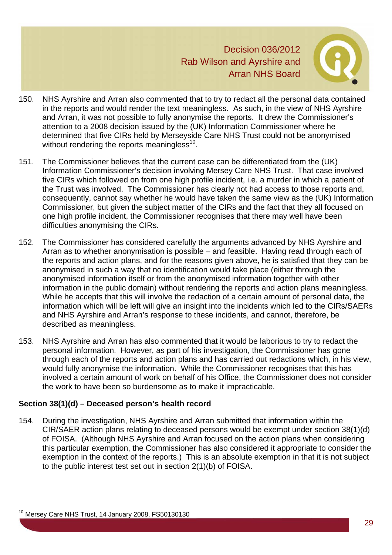

- 150. NHS Ayrshire and Arran also commented that to try to redact all the personal data contained in the reports and would render the text meaningless. As such, in the view of NHS Ayrshire and Arran, it was not possible to fully anonymise the reports. It drew the Commissioner's attention to a 2008 decision issued by the (UK) Information Commissioner where he determined that five CIRs held by Merseyside Care NHS Trust could not be anonymised without rendering the reports meaningless $^{10}$ .
- 151. The Commissioner believes that the current case can be differentiated from the (UK) Information Commissioner's decision involving Mersey Care NHS Trust. That case involved five CIRs which followed on from one high profile incident, i.e. a murder in which a patient of the Trust was involved. The Commissioner has clearly not had access to those reports and, consequently, cannot say whether he would have taken the same view as the (UK) Information Commissioner, but given the subject matter of the CIRs and the fact that they all focused on one high profile incident, the Commissioner recognises that there may well have been difficulties anonymising the CIRs.
- 152. The Commissioner has considered carefully the arguments advanced by NHS Ayrshire and Arran as to whether anonymisation is possible – and feasible. Having read through each of the reports and action plans, and for the reasons given above, he is satisfied that they can be anonymised in such a way that no identification would take place (either through the anonymised information itself or from the anonymised information together with other information in the public domain) without rendering the reports and action plans meaningless. While he accepts that this will involve the redaction of a certain amount of personal data, the information which will be left will give an insight into the incidents which led to the CIRs/SAERs and NHS Ayrshire and Arran's response to these incidents, and cannot, therefore, be described as meaningless.
- 153. NHS Ayrshire and Arran has also commented that it would be laborious to try to redact the personal information. However, as part of his investigation, the Commissioner has gone through each of the reports and action plans and has carried out redactions which, in his view, would fully anonymise the information. While the Commissioner recognises that this has involved a certain amount of work on behalf of his Office, the Commissioner does not consider the work to have been so burdensome as to make it impracticable.

# **Section 38(1)(d) – Deceased person's health record**

154. During the investigation, NHS Ayrshire and Arran submitted that information within the CIR/SAER action plans relating to deceased persons would be exempt under section 38(1)(d) of FOISA. (Although NHS Ayrshire and Arran focused on the action plans when considering this particular exemption, the Commissioner has also considered it appropriate to consider the exemption in the context of the reports.) This is an absolute exemption in that it is not subject to the public interest test set out in section 2(1)(b) of FOISA.

l

<sup>&</sup>lt;sup>10</sup> Mersey Care NHS Trust, 14 January 2008, FS50130130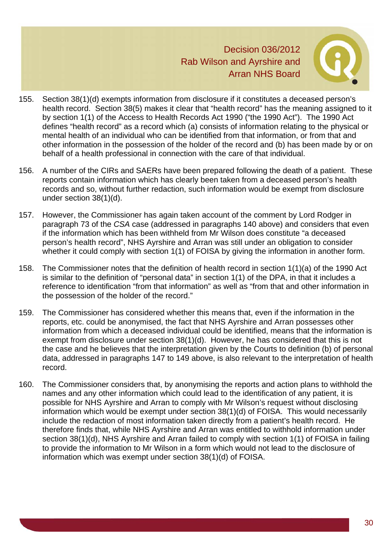

- 155. Section 38(1)(d) exempts information from disclosure if it constitutes a deceased person's health record. Section 38(5) makes it clear that "health record" has the meaning assigned to it by section 1(1) of the Access to Health Records Act 1990 ("the 1990 Act"). The 1990 Act defines "health record" as a record which (a) consists of information relating to the physical or mental health of an individual who can be identified from that information, or from that and other information in the possession of the holder of the record and (b) has been made by or on behalf of a health professional in connection with the care of that individual.
- 156. A number of the CIRs and SAERs have been prepared following the death of a patient. These reports contain information which has clearly been taken from a deceased person's health records and so, without further redaction, such information would be exempt from disclosure under section 38(1)(d).
- 157. However, the Commissioner has again taken account of the comment by Lord Rodger in paragraph 73 of the *CSA* case (addressed in paragraphs 140 above) and considers that even if the information which has been withheld from Mr Wilson does constitute "a deceased person's health record", NHS Ayrshire and Arran was still under an obligation to consider whether it could comply with section 1(1) of FOISA by giving the information in another form.
- 158. The Commissioner notes that the definition of health record in section 1(1)(a) of the 1990 Act is similar to the definition of "personal data" in section 1(1) of the DPA, in that it includes a reference to identification "from that information" as well as "from that and other information in the possession of the holder of the record."
- 159. The Commissioner has considered whether this means that, even if the information in the reports, etc. could be anonymised, the fact that NHS Ayrshire and Arran possesses other information from which a deceased individual could be identified, means that the information is exempt from disclosure under section 38(1)(d). However, he has considered that this is not the case and he believes that the interpretation given by the Courts to definition (b) of personal data, addressed in paragraphs 147 to 149 above, is also relevant to the interpretation of health record.
- 160. The Commissioner considers that, by anonymising the reports and action plans to withhold the names and any other information which could lead to the identification of any patient, it is possible for NHS Ayrshire and Arran to comply with Mr Wilson's request without disclosing information which would be exempt under section 38(1)(d) of FOISA. This would necessarily include the redaction of most information taken directly from a patient's health record. He therefore finds that, while NHS Ayrshire and Arran was entitled to withhold information under section 38(1)(d), NHS Ayrshire and Arran failed to comply with section 1(1) of FOISA in failing to provide the information to Mr Wilson in a form which would not lead to the disclosure of information which was exempt under section 38(1)(d) of FOISA.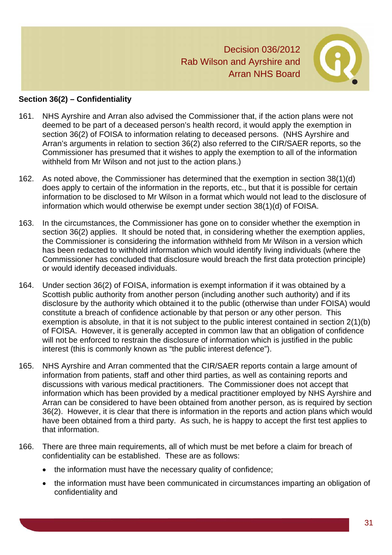

#### **Section 36(2) – Confidentiality**

- 161. NHS Ayrshire and Arran also advised the Commissioner that, if the action plans were not deemed to be part of a deceased person's health record, it would apply the exemption in section 36(2) of FOISA to information relating to deceased persons. (NHS Ayrshire and Arran's arguments in relation to section 36(2) also referred to the CIR/SAER reports, so the Commissioner has presumed that it wishes to apply the exemption to all of the information withheld from Mr Wilson and not just to the action plans.)
- 162. As noted above, the Commissioner has determined that the exemption in section 38(1)(d) does apply to certain of the information in the reports, etc., but that it is possible for certain information to be disclosed to Mr Wilson in a format which would not lead to the disclosure of information which would otherwise be exempt under section 38(1)(d) of FOISA.
- 163. In the circumstances, the Commissioner has gone on to consider whether the exemption in section 36(2) applies. It should be noted that, in considering whether the exemption applies, the Commissioner is considering the information withheld from Mr Wilson in a version which has been redacted to withhold information which would identify living individuals (where the Commissioner has concluded that disclosure would breach the first data protection principle) or would identify deceased individuals.
- 164. Under section 36(2) of FOISA, information is exempt information if it was obtained by a Scottish public authority from another person (including another such authority) and if its disclosure by the authority which obtained it to the public (otherwise than under FOISA) would constitute a breach of confidence actionable by that person or any other person. This exemption is absolute, in that it is not subject to the public interest contained in section 2(1)(b) of FOISA. However, it is generally accepted in common law that an obligation of confidence will not be enforced to restrain the disclosure of information which is justified in the public interest (this is commonly known as "the public interest defence").
- 165. NHS Ayrshire and Arran commented that the CIR/SAER reports contain a large amount of information from patients, staff and other third parties, as well as containing reports and discussions with various medical practitioners. The Commissioner does not accept that information which has been provided by a medical practitioner employed by NHS Ayrshire and Arran can be considered to have been obtained from another person, as is required by section 36(2). However, it is clear that there is information in the reports and action plans which would have been obtained from a third party. As such, he is happy to accept the first test applies to that information.
- 166. There are three main requirements, all of which must be met before a claim for breach of confidentiality can be established. These are as follows:
	- the information must have the necessary quality of confidence;
	- the information must have been communicated in circumstances imparting an obligation of confidentiality and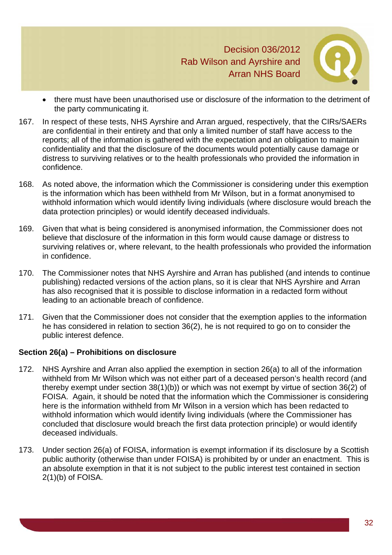

- there must have been unauthorised use or disclosure of the information to the detriment of the party communicating it.
- 167. In respect of these tests, NHS Ayrshire and Arran argued, respectively, that the CIRs/SAERs are confidential in their entirety and that only a limited number of staff have access to the reports; all of the information is gathered with the expectation and an obligation to maintain confidentiality and that the disclosure of the documents would potentially cause damage or distress to surviving relatives or to the health professionals who provided the information in confidence.
- 168. As noted above, the information which the Commissioner is considering under this exemption is the information which has been withheld from Mr Wilson, but in a format anonymised to withhold information which would identify living individuals (where disclosure would breach the data protection principles) or would identify deceased individuals.
- 169. Given that what is being considered is anonymised information, the Commissioner does not believe that disclosure of the information in this form would cause damage or distress to surviving relatives or, where relevant, to the health professionals who provided the information in confidence.
- 170. The Commissioner notes that NHS Ayrshire and Arran has published (and intends to continue publishing) redacted versions of the action plans, so it is clear that NHS Ayrshire and Arran has also recognised that it is possible to disclose information in a redacted form without leading to an actionable breach of confidence.
- 171. Given that the Commissioner does not consider that the exemption applies to the information he has considered in relation to section 36(2), he is not required to go on to consider the public interest defence.

# **Section 26(a) – Prohibitions on disclosure**

- 172. NHS Ayrshire and Arran also applied the exemption in section 26(a) to all of the information withheld from Mr Wilson which was not either part of a deceased person's health record (and thereby exempt under section 38(1)(b)) or which was not exempt by virtue of section 36(2) of FOISA. Again, it should be noted that the information which the Commissioner is considering here is the information withheld from Mr Wilson in a version which has been redacted to withhold information which would identify living individuals (where the Commissioner has concluded that disclosure would breach the first data protection principle) or would identify deceased individuals.
- 173. Under section 26(a) of FOISA, information is exempt information if its disclosure by a Scottish public authority (otherwise than under FOISA) is prohibited by or under an enactment. This is an absolute exemption in that it is not subject to the public interest test contained in section 2(1)(b) of FOISA.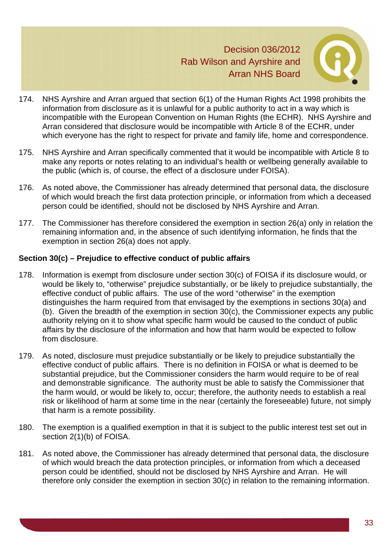

- 174. NHS Ayrshire and Arran argued that section 6(1) of the Human Rights Act 1998 prohibits the information from disclosure as it is unlawful for a public authority to act in a way which is incompatible with the European Convention on Human Rights (the ECHR). NHS Ayrshire and Arran considered that disclosure would be incompatible with Article 8 of the ECHR, under which everyone has the right to respect for private and family life, home and correspondence.
- 175. NHS Ayrshire and Arran specifically commented that it would be incompatible with Article 8 to make any reports or notes relating to an individual's health or wellbeing generally available to the public (which is, of course, the effect of a disclosure under FOISA).
- 176. As noted above, the Commissioner has already determined that personal data, the disclosure of which would breach the first data protection principle, or information from which a deceased person could be identified, should not be disclosed by NHS Ayrshire and Arran.
- 177. The Commissioner has therefore considered the exemption in section 26(a) only in relation the remaining information and, in the absence of such identifying information, he finds that the exemption in section 26(a) does not apply.

# **Section 30(c) – Prejudice to effective conduct of public affairs**

- 178. Information is exempt from disclosure under section 30(c) of FOISA if its disclosure would, or would be likely to, "otherwise" prejudice substantially, or be likely to prejudice substantially, the effective conduct of public affairs. The use of the word "otherwise" in the exemption distinguishes the harm required from that envisaged by the exemptions in sections 30(a) and (b). Given the breadth of the exemption in section 30(c), the Commissioner expects any public authority relying on it to show what specific harm would be caused to the conduct of public affairs by the disclosure of the information and how that harm would be expected to follow from disclosure.
- 179. As noted, disclosure must prejudice substantially or be likely to prejudice substantially the effective conduct of public affairs. There is no definition in FOISA or what is deemed to be substantial prejudice, but the Commissioner considers the harm would require to be of real and demonstrable significance. The authority must be able to satisfy the Commissioner that the harm would, or would be likely to, occur; therefore, the authority needs to establish a real risk or likelihood of harm at some time in the near (certainly the foreseeable) future, not simply that harm is a remote possibility.
- 180. The exemption is a qualified exemption in that it is subject to the public interest test set out in section 2(1)(b) of FOISA.
- 181. As noted above, the Commissioner has already determined that personal data, the disclosure of which would breach the data protection principles, or information from which a deceased person could be identified, should not be disclosed by NHS Ayrshire and Arran. He will therefore only consider the exemption in section 30(c) in relation to the remaining information.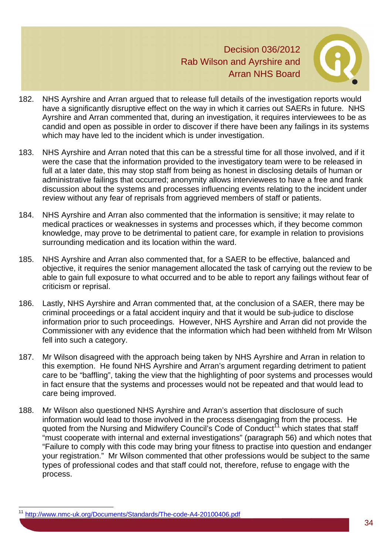

- 182. NHS Ayrshire and Arran argued that to release full details of the investigation reports would have a significantly disruptive effect on the way in which it carries out SAERs in future. NHS Ayrshire and Arran commented that, during an investigation, it requires interviewees to be as candid and open as possible in order to discover if there have been any failings in its systems which may have led to the incident which is under investigation.
- 183. NHS Ayrshire and Arran noted that this can be a stressful time for all those involved, and if it were the case that the information provided to the investigatory team were to be released in full at a later date, this may stop staff from being as honest in disclosing details of human or administrative failings that occurred; anonymity allows interviewees to have a free and frank discussion about the systems and processes influencing events relating to the incident under review without any fear of reprisals from aggrieved members of staff or patients.
- 184. NHS Ayrshire and Arran also commented that the information is sensitive; it may relate to medical practices or weaknesses in systems and processes which, if they become common knowledge, may prove to be detrimental to patient care, for example in relation to provisions surrounding medication and its location within the ward.
- 185. NHS Ayrshire and Arran also commented that, for a SAER to be effective, balanced and objective, it requires the senior management allocated the task of carrying out the review to be able to gain full exposure to what occurred and to be able to report any failings without fear of criticism or reprisal.
- 186. Lastly, NHS Ayrshire and Arran commented that, at the conclusion of a SAER, there may be criminal proceedings or a fatal accident inquiry and that it would be sub-judice to disclose information prior to such proceedings. However, NHS Ayrshire and Arran did not provide the Commissioner with any evidence that the information which had been withheld from Mr Wilson fell into such a category.
- 187. Mr Wilson disagreed with the approach being taken by NHS Ayrshire and Arran in relation to this exemption. He found NHS Ayrshire and Arran's argument regarding detriment to patient care to be "baffling", taking the view that the highlighting of poor systems and processes would in fact ensure that the systems and processes would not be repeated and that would lead to care being improved.
- 188. Mr Wilson also questioned NHS Ayrshire and Arran's assertion that disclosure of such information would lead to those involved in the process disengaging from the process. He quoted from the Nursing and Midwifery Council's Code of Conduct<sup>11</sup> which states that staff "must cooperate with internal and external investigations" (paragraph 56) and which notes that "Failure to comply with this code may bring your fitness to practise into question and endanger your registration." Mr Wilson commented that other professions would be subject to the same types of professional codes and that staff could not, therefore, refuse to engage with the process.

l

<sup>11</sup> http://www.nmc-uk.org/Documents/Standards/The-code-A4-20100406.pdf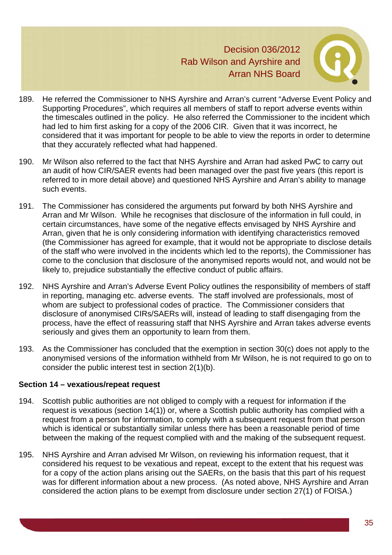

- 189. He referred the Commissioner to NHS Ayrshire and Arran's current "Adverse Event Policy and Supporting Procedures", which requires all members of staff to report adverse events within the timescales outlined in the policy. He also referred the Commissioner to the incident which had led to him first asking for a copy of the 2006 CIR. Given that it was incorrect, he considered that it was important for people to be able to view the reports in order to determine that they accurately reflected what had happened.
- 190. Mr Wilson also referred to the fact that NHS Ayrshire and Arran had asked PwC to carry out an audit of how CIR/SAER events had been managed over the past five years (this report is referred to in more detail above) and questioned NHS Ayrshire and Arran's ability to manage such events.
- 191. The Commissioner has considered the arguments put forward by both NHS Ayrshire and Arran and Mr Wilson. While he recognises that disclosure of the information in full could, in certain circumstances, have some of the negative effects envisaged by NHS Ayrshire and Arran, given that he is only considering information with identifying characteristics removed (the Commissioner has agreed for example, that it would not be appropriate to disclose details of the staff who were involved in the incidents which led to the reports), the Commissioner has come to the conclusion that disclosure of the anonymised reports would not, and would not be likely to, prejudice substantially the effective conduct of public affairs.
- 192. NHS Ayrshire and Arran's Adverse Event Policy outlines the responsibility of members of staff in reporting, managing etc. adverse events. The staff involved are professionals, most of whom are subject to professional codes of practice. The Commissioner considers that disclosure of anonymised CIRs/SAERs will, instead of leading to staff disengaging from the process, have the effect of reassuring staff that NHS Ayrshire and Arran takes adverse events seriously and gives them an opportunity to learn from them.
- 193. As the Commissioner has concluded that the exemption in section 30(c) does not apply to the anonymised versions of the information withheld from Mr Wilson, he is not required to go on to consider the public interest test in section 2(1)(b).

#### **Section 14 – vexatious/repeat request**

- 194. Scottish public authorities are not obliged to comply with a request for information if the request is vexatious (section 14(1)) or, where a Scottish public authority has complied with a request from a person for information, to comply with a subsequent request from that person which is identical or substantially similar unless there has been a reasonable period of time between the making of the request complied with and the making of the subsequent request.
- 195. NHS Ayrshire and Arran advised Mr Wilson, on reviewing his information request, that it considered his request to be vexatious and repeat, except to the extent that his request was for a copy of the action plans arising out the SAERs, on the basis that this part of his request was for different information about a new process. (As noted above, NHS Ayrshire and Arran considered the action plans to be exempt from disclosure under section 27(1) of FOISA.)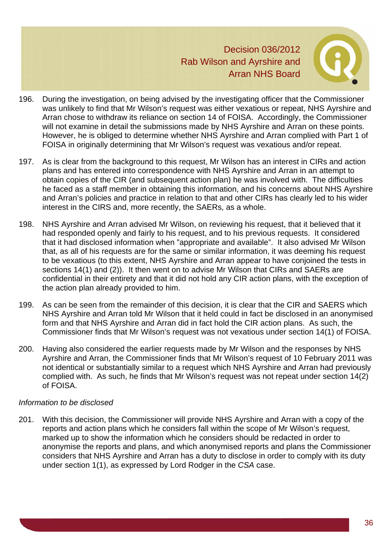

- 196. During the investigation, on being advised by the investigating officer that the Commissioner was unlikely to find that Mr Wilson's request was either vexatious or repeat, NHS Ayrshire and Arran chose to withdraw its reliance on section 14 of FOISA. Accordingly, the Commissioner will not examine in detail the submissions made by NHS Ayrshire and Arran on these points. However, he is obliged to determine whether NHS Ayrshire and Arran complied with Part 1 of FOISA in originally determining that Mr Wilson's request was vexatious and/or repeat.
- 197. As is clear from the background to this request, Mr Wilson has an interest in CIRs and action plans and has entered into correspondence with NHS Ayrshire and Arran in an attempt to obtain copies of the CIR (and subsequent action plan) he was involved with. The difficulties he faced as a staff member in obtaining this information, and his concerns about NHS Ayrshire and Arran's policies and practice in relation to that and other CIRs has clearly led to his wider interest in the CIRS and, more recently, the SAERs, as a whole.
- 198. NHS Ayrshire and Arran advised Mr Wilson, on reviewing his request, that it believed that it had responded openly and fairly to his request, and to his previous requests. It considered that it had disclosed information when "appropriate and available". It also advised Mr Wilson that, as all of his requests are for the same or similar information, it was deeming his request to be vexatious (to this extent, NHS Ayrshire and Arran appear to have conjoined the tests in sections 14(1) and (2)). It then went on to advise Mr Wilson that CIRs and SAERs are confidential in their entirety and that it did not hold any CIR action plans, with the exception of the action plan already provided to him.
- 199. As can be seen from the remainder of this decision, it is clear that the CIR and SAERS which NHS Ayrshire and Arran told Mr Wilson that it held could in fact be disclosed in an anonymised form and that NHS Ayrshire and Arran did in fact hold the CIR action plans. As such, the Commissioner finds that Mr Wilson's request was not vexatious under section 14(1) of FOISA.
- 200. Having also considered the earlier requests made by Mr Wilson and the responses by NHS Ayrshire and Arran, the Commissioner finds that Mr Wilson's request of 10 February 2011 was not identical or substantially similar to a request which NHS Ayrshire and Arran had previously complied with. As such, he finds that Mr Wilson's request was not repeat under section 14(2) of FOISA.

# *Information to be disclosed*

201. With this decision, the Commissioner will provide NHS Ayrshire and Arran with a copy of the reports and action plans which he considers fall within the scope of Mr Wilson's request, marked up to show the information which he considers should be redacted in order to anonymise the reports and plans, and which anonymised reports and plans the Commissioner considers that NHS Ayrshire and Arran has a duty to disclose in order to comply with its duty under section 1(1), as expressed by Lord Rodger in the *CSA* case.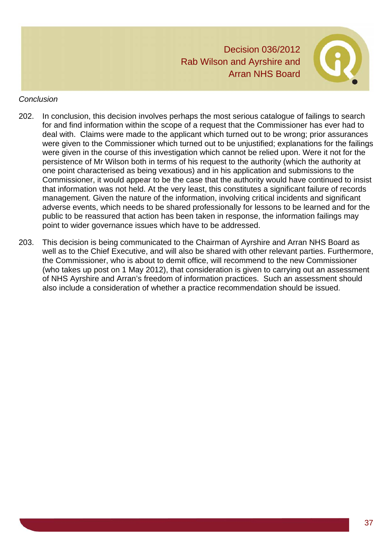

#### *Conclusion*

- 202. In conclusion, this decision involves perhaps the most serious catalogue of failings to search for and find information within the scope of a request that the Commissioner has ever had to deal with. Claims were made to the applicant which turned out to be wrong; prior assurances were given to the Commissioner which turned out to be unjustified; explanations for the failings were given in the course of this investigation which cannot be relied upon. Were it not for the persistence of Mr Wilson both in terms of his request to the authority (which the authority at one point characterised as being vexatious) and in his application and submissions to the Commissioner, it would appear to be the case that the authority would have continued to insist that information was not held. At the very least, this constitutes a significant failure of records management. Given the nature of the information, involving critical incidents and significant adverse events, which needs to be shared professionally for lessons to be learned and for the public to be reassured that action has been taken in response, the information failings may point to wider governance issues which have to be addressed.
- 203. This decision is being communicated to the Chairman of Ayrshire and Arran NHS Board as well as to the Chief Executive, and will also be shared with other relevant parties. Furthermore, the Commissioner, who is about to demit office, will recommend to the new Commissioner (who takes up post on 1 May 2012), that consideration is given to carrying out an assessment of NHS Ayrshire and Arran's freedom of information practices. Such an assessment should also include a consideration of whether a practice recommendation should be issued.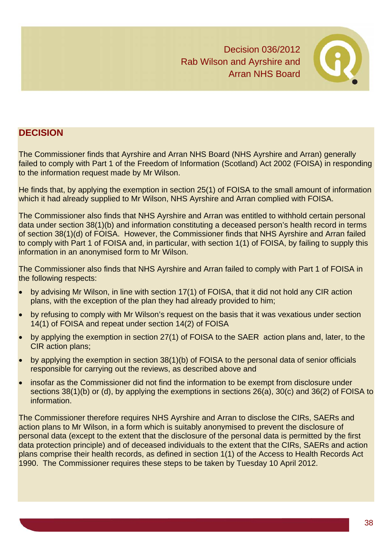

# **DECISION**

The Commissioner finds that Ayrshire and Arran NHS Board (NHS Ayrshire and Arran) generally failed to comply with Part 1 of the Freedom of Information (Scotland) Act 2002 (FOISA) in responding to the information request made by Mr Wilson.

He finds that, by applying the exemption in section 25(1) of FOISA to the small amount of information which it had already supplied to Mr Wilson, NHS Ayrshire and Arran complied with FOISA.

The Commissioner also finds that NHS Ayrshire and Arran was entitled to withhold certain personal data under section 38(1)(b) and information constituting a deceased person's health record in terms of section 38(1)(d) of FOISA. However, the Commissioner finds that NHS Ayrshire and Arran failed to comply with Part 1 of FOISA and, in particular, with section 1(1) of FOISA, by failing to supply this information in an anonymised form to Mr Wilson.

The Commissioner also finds that NHS Ayrshire and Arran failed to comply with Part 1 of FOISA in the following respects:

- by advising Mr Wilson, in line with section 17(1) of FOISA, that it did not hold any CIR action plans, with the exception of the plan they had already provided to him;
- by refusing to comply with Mr Wilson's request on the basis that it was vexatious under section 14(1) of FOISA and repeat under section 14(2) of FOISA
- by applying the exemption in section 27(1) of FOISA to the SAER action plans and, later, to the CIR action plans;
- by applying the exemption in section 38(1)(b) of FOISA to the personal data of senior officials responsible for carrying out the reviews, as described above and
- insofar as the Commissioner did not find the information to be exempt from disclosure under sections 38(1)(b) or (d), by applying the exemptions in sections 26(a), 30(c) and 36(2) of FOISA to information.

The Commissioner therefore requires NHS Ayrshire and Arran to disclose the CIRs, SAERs and action plans to Mr Wilson, in a form which is suitably anonymised to prevent the disclosure of personal data (except to the extent that the disclosure of the personal data is permitted by the first data protection principle) and of deceased individuals to the extent that the CIRs, SAERs and action plans comprise their health records, as defined in section 1(1) of the Access to Health Records Act 1990. The Commissioner requires these steps to be taken by Tuesday 10 April 2012.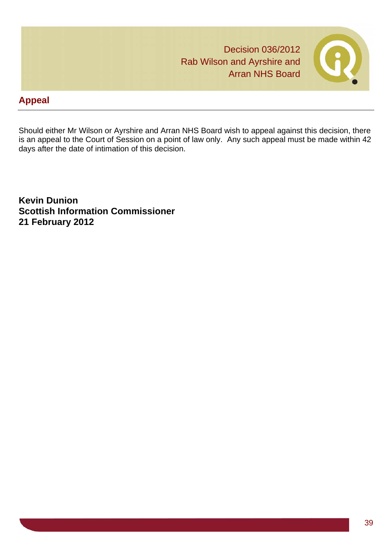# **Appeal**

Should either Mr Wilson or Ayrshire and Arran NHS Board wish to appeal against this decision, there is an appeal to the Court of Session on a point of law only. Any such appeal must be made within 42 days after the date of intimation of this decision.

**Kevin Dunion Scottish Information Commissioner 21 February 2012**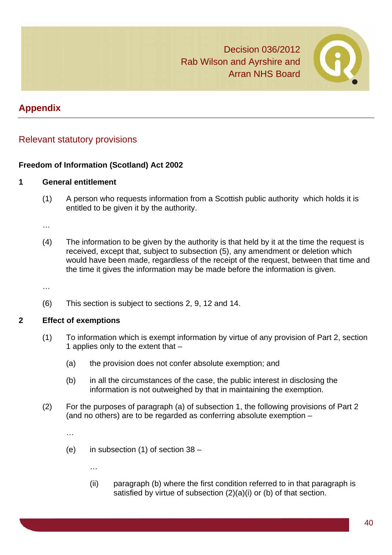

# **Appendix**

# Relevant statutory provisions

# **Freedom of Information (Scotland) Act 2002**

#### **1 General entitlement**

(1) A person who requests information from a Scottish public authority which holds it is entitled to be given it by the authority.

…

(4) The information to be given by the authority is that held by it at the time the request is received, except that, subject to subsection (5), any amendment or deletion which would have been made, regardless of the receipt of the request, between that time and the time it gives the information may be made before the information is given.

…

(6) This section is subject to sections 2, 9, 12 and 14.

#### **2 Effect of exemptions**

- (1) To information which is exempt information by virtue of any provision of Part 2, section 1 applies only to the extent that –
	- (a) the provision does not confer absolute exemption; and
	- (b) in all the circumstances of the case, the public interest in disclosing the information is not outweighed by that in maintaining the exemption.
- (2) For the purposes of paragraph (a) of subsection 1, the following provisions of Part 2 (and no others) are to be regarded as conferring absolute exemption –

…

- (e) in subsection (1) of section 38
	- (ii) paragraph (b) where the first condition referred to in that paragraph is satisfied by virtue of subsection (2)(a)(i) or (b) of that section.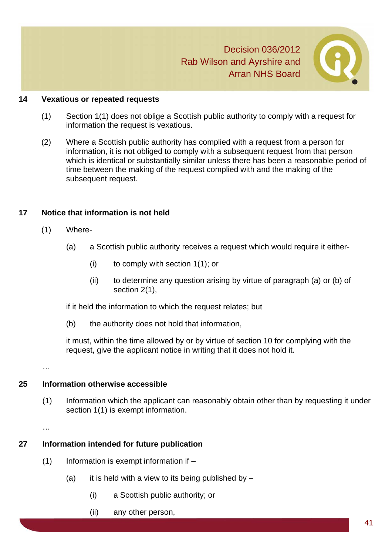

#### **14 Vexatious or repeated requests**

- (1) Section 1(1) does not oblige a Scottish public authority to comply with a request for information the request is vexatious.
- (2) Where a Scottish public authority has complied with a request from a person for information, it is not obliged to comply with a subsequent request from that person which is identical or substantially similar unless there has been a reasonable period of time between the making of the request complied with and the making of the subsequent request.

#### **17 Notice that information is not held**

- (1) Where-
	- (a) a Scottish public authority receives a request which would require it either-
		- (i) to comply with section 1(1); or
		- (ii) to determine any question arising by virtue of paragraph (a) or (b) of section 2(1),

if it held the information to which the request relates; but

(b) the authority does not hold that information,

it must, within the time allowed by or by virtue of section 10 for complying with the request, give the applicant notice in writing that it does not hold it.

…

# **25 Information otherwise accessible**

(1) Information which the applicant can reasonably obtain other than by requesting it under section  $1(1)$  is exempt information.

…

# **27 Information intended for future publication**

- $(1)$  Information is exempt information if  $-$ 
	- (a) it is held with a view to its being published by  $-$ 
		- (i) a Scottish public authority; or
		- (ii) any other person,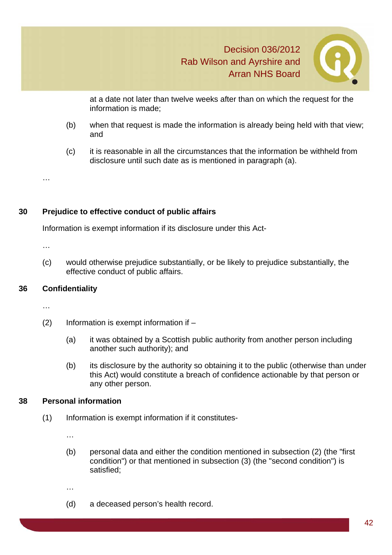

 at a date not later than twelve weeks after than on which the request for the information is made;

- (b) when that request is made the information is already being held with that view; and
- (c) it is reasonable in all the circumstances that the information be withheld from disclosure until such date as is mentioned in paragraph (a).

#### **30 Prejudice to effective conduct of public affairs**

Information is exempt information if its disclosure under this Act-

…

…

(c) would otherwise prejudice substantially, or be likely to prejudice substantially, the effective conduct of public affairs.

# **36 Confidentiality**

…

- (2) Information is exempt information if
	- (a) it was obtained by a Scottish public authority from another person including another such authority); and
	- (b) its disclosure by the authority so obtaining it to the public (otherwise than under this Act) would constitute a breach of confidence actionable by that person or any other person.

#### **38 Personal information**

(1) Information is exempt information if it constitutes-

…

(b) personal data and either the condition mentioned in subsection (2) (the "first condition") or that mentioned in subsection (3) (the "second condition") is satisfied;

…

(d) a deceased person's health record.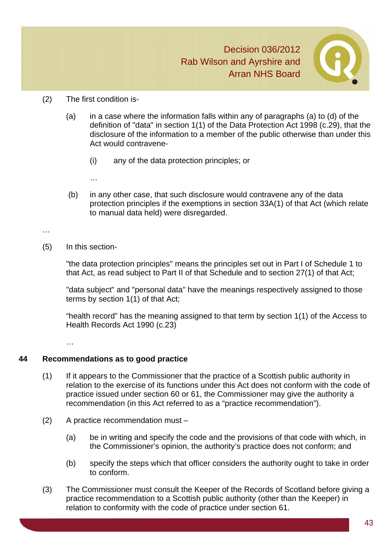

#### (2) The first condition is-

- (a) in a case where the information falls within any of paragraphs (a) to (d) of the definition of "data" in section 1(1) of the Data Protection Act 1998 (c.29), that the disclosure of the information to a member of the public otherwise than under this Act would contravene-
	- (i) any of the data protection principles; or
	- …
- (b) in any other case, that such disclosure would contravene any of the data protection principles if the exemptions in section 33A(1) of that Act (which relate to manual data held) were disregarded.

…

(5) In this section-

"the data protection principles" means the principles set out in Part I of Schedule 1 to that Act, as read subject to Part II of that Schedule and to section 27(1) of that Act;

"data subject" and "personal data" have the meanings respectively assigned to those terms by section 1(1) of that Act;

"health record" has the meaning assigned to that term by section 1(1) of the Access to Health Records Act 1990 (c.23)

…

# **44 Recommendations as to good practice**

- (1) If it appears to the Commissioner that the practice of a Scottish public authority in relation to the exercise of its functions under this Act does not conform with the code of practice issued under section 60 or 61, the Commissioner may give the authority a recommendation (in this Act referred to as a "practice recommendation").
- (2) A practice recommendation must
	- (a) be in writing and specify the code and the provisions of that code with which, in the Commissioner's opinion, the authority's practice does not conform; and
	- (b) specify the steps which that officer considers the authority ought to take in order to conform.
- (3) The Commissioner must consult the Keeper of the Records of Scotland before giving a practice recommendation to a Scottish public authority (other than the Keeper) in relation to conformity with the code of practice under section 61.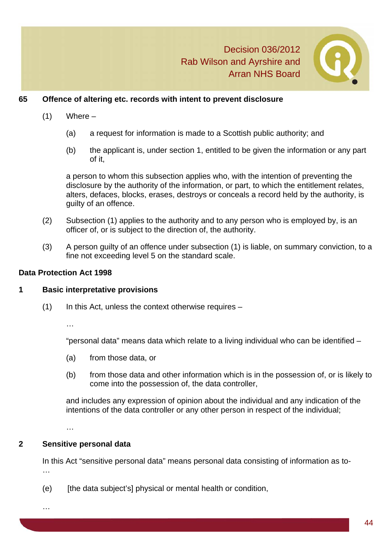

#### **65 Offence of altering etc. records with intent to prevent disclosure**

- $(1)$  Where
	- (a) a request for information is made to a Scottish public authority; and
	- (b) the applicant is, under section 1, entitled to be given the information or any part of it,

a person to whom this subsection applies who, with the intention of preventing the disclosure by the authority of the information, or part, to which the entitlement relates, alters, defaces, blocks, erases, destroys or conceals a record held by the authority, is guilty of an offence.

- (2) Subsection (1) applies to the authority and to any person who is employed by, is an officer of, or is subject to the direction of, the authority.
- (3) A person guilty of an offence under subsection (1) is liable, on summary conviction, to a fine not exceeding level 5 on the standard scale.

#### **Data Protection Act 1998**

#### **1 Basic interpretative provisions**

 $(1)$  In this Act, unless the context otherwise requires –

…

"personal data" means data which relate to a living individual who can be identified –

- (a) from those data, or
- (b) from those data and other information which is in the possession of, or is likely to come into the possession of, the data controller,

and includes any expression of opinion about the individual and any indication of the intentions of the data controller or any other person in respect of the individual;

…

# **2 Sensitive personal data**

 In this Act "sensitive personal data" means personal data consisting of information as to- …

(e) [the data subject's] physical or mental health or condition,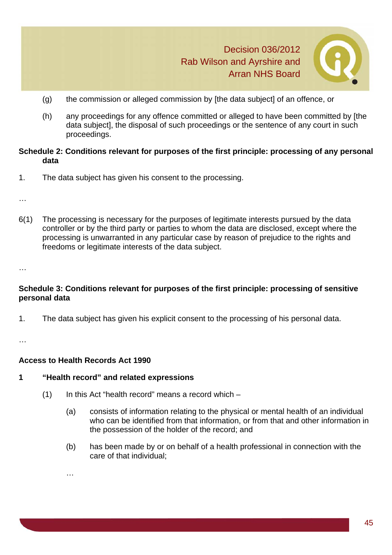

- (g) the commission or alleged commission by [the data subject] of an offence, or
- (h) any proceedings for any offence committed or alleged to have been committed by [the data subject], the disposal of such proceedings or the sentence of any court in such proceedings.

#### **Schedule 2: Conditions relevant for purposes of the first principle: processing of any personal data**

1. The data subject has given his consent to the processing.

…

6(1) The processing is necessary for the purposes of legitimate interests pursued by the data controller or by the third party or parties to whom the data are disclosed, except where the processing is unwarranted in any particular case by reason of prejudice to the rights and freedoms or legitimate interests of the data subject.

…

# **Schedule 3: Conditions relevant for purposes of the first principle: processing of sensitive personal data**

1. The data subject has given his explicit consent to the processing of his personal data.

…

# **Access to Health Records Act 1990**

# **1 "Health record" and related expressions**

- $(1)$  In this Act "health record" means a record which
	- (a) consists of information relating to the physical or mental health of an individual who can be identified from that information, or from that and other information in the possession of the holder of the record; and
	- (b) has been made by or on behalf of a health professional in connection with the care of that individual;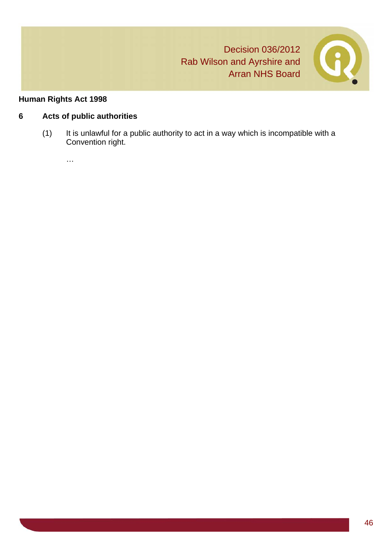

# **Human Rights Act 1998**

# **6 Acts of public authorities**

(1) It is unlawful for a public authority to act in a way which is incompatible with a Convention right.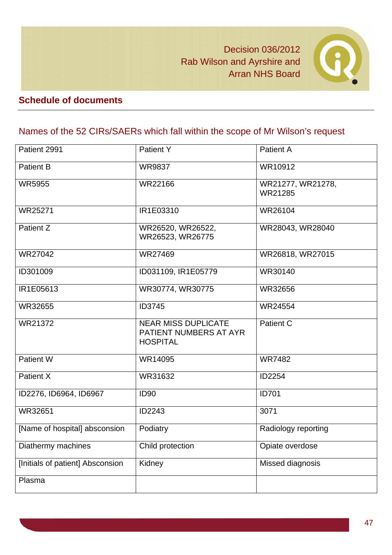

# **Schedule of documents**

# Names of the 52 CIRs/SAERs which fall within the scope of Mr Wilson's request

| Patient 2991                     | Patient Y                                                               | <b>Patient A</b>             |
|----------------------------------|-------------------------------------------------------------------------|------------------------------|
| <b>Patient B</b>                 | <b>WR9837</b>                                                           | WR10912                      |
| <b>WR5955</b>                    | WR22166                                                                 | WR21277, WR21278,<br>WR21285 |
| <b>WR25271</b>                   | IR1E03310                                                               | WR26104                      |
| Patient Z                        | WR26520, WR26522,<br>WR26523, WR26775                                   | WR28043, WR28040             |
| WR27042                          | WR27469                                                                 | WR26818, WR27015             |
| ID301009                         | ID031109, IR1E05779                                                     | WR30140                      |
| IR1E05613                        | WR30774, WR30775                                                        | WR32656                      |
| WR32655                          | ID3745                                                                  | <b>WR24554</b>               |
| WR21372                          | <b>NEAR MISS DUPLICATE</b><br>PATIENT NUMBERS AT AYR<br><b>HOSPITAL</b> | <b>Patient C</b>             |
| Patient W                        | WR14095                                                                 | <b>WR7482</b>                |
| Patient X                        | WR31632                                                                 | ID2254                       |
| ID2276, ID6964, ID6967           | ID <sub>90</sub>                                                        | <b>ID701</b>                 |
| WR32651                          | ID2243                                                                  | 3071                         |
| [Name of hospital] absconsion    | Podiatry                                                                | Radiology reporting          |
| Diathermy machines               | Child protection                                                        | Opiate overdose              |
| [Initials of patient] Absconsion | Kidney                                                                  | Missed diagnosis             |
| Plasma                           |                                                                         |                              |